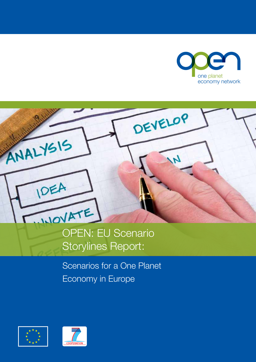



OPEN: EU Scenario Storylines Report:

Scenarios for a One Planet Economy in Europe



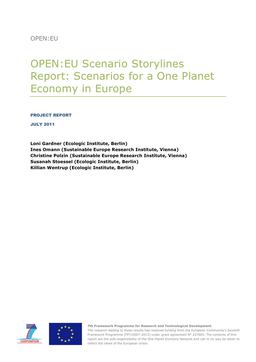OPEN:EU

# OPEN:EU Scenario Storylines Report: Scenarios for a One Planet Economy in Europe

PROJECT REPORT

JULY 2011

**Loni Gardner (Ecologic Institute, Berlin) Ines Omann (Sustainable Europe Research Institute, Vienna) Christine Polzin (Sustainable Europe Research Institute, Vienna) Susanah Stoessel (Ecologic Institute, Berlin) Killian Wentrup (Ecologic Institute, Berlin)**





**7th Framework Programme for Research and Technological Development**

Page **1** of **57** report are the sole responsibility of the One Planet Economy Network and can in no way be taken to The research leading to these results has received funding from the European Community's Seventh Framework Programme (FP7/2007-2013) under grant agreement N° 227065. The contents of this reflect the views of the European Union.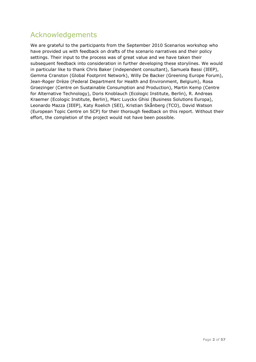## <span id="page-2-0"></span>Acknowledgements

We are grateful to the participants from the September 2010 Scenarios workshop who have provided us with feedback on drafts of the scenario narratives and their policy settings. Their input to the process was of great value and we have taken their subsequent feedback into consideration in further developing these storylines. We would in particular like to thank Chris Baker (independent consultant), Samuela Bassi (IEEP), Gemma Cranston (Global Footprint Network), Willy De Backer (Greening Europe Forum), Jean-Roger Drèze (Federal Department for Health and Environment, Belgium), Rosa Groezinger (Centre on Sustainable Consumption and Production), Martin Kemp (Centre for Alternative Technology), Doris Knoblauch (Ecologic Institute, Berlin), R. Andreas Kraemer (Ecologic Institute, Berlin), Marc Luyckx Ghisi (Business Solutions Europa), Leonardo Mazza (IEEP), Katy Roelich (SEI), Kristian Skånberg (TCO), David Watson (European Topic Centre on SCP) for their thorough feedback on this report. Without their effort, the completion of the project would not have been possible.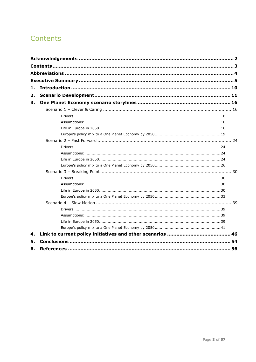## <span id="page-3-0"></span>Contents

| 1. |  |
|----|--|
| 2. |  |
| З. |  |
|    |  |
|    |  |
|    |  |
|    |  |
|    |  |
|    |  |
|    |  |
|    |  |
|    |  |
|    |  |
|    |  |
|    |  |
|    |  |
|    |  |
|    |  |
|    |  |
|    |  |
|    |  |
|    |  |
|    |  |
| 4. |  |
| 5. |  |
| 6. |  |
|    |  |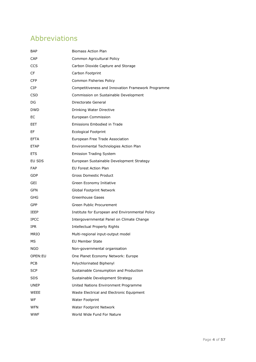## <span id="page-4-0"></span>Abbreviations

| BAP         | <b>Biomass Action Plan</b>                         |
|-------------|----------------------------------------------------|
| CAP         | Common Agricultural Policy                         |
| <b>CCS</b>  | Carbon Dioxide Capture and Storage                 |
| CF          | Carbon Footprint                                   |
| <b>CFP</b>  | Common Fisheries Policy                            |
| CIP.        | Competitiveness and Innovation Framework Programme |
| <b>CSD</b>  | Commission on Sustainable Development              |
| DG          | Directorate General                                |
| <b>DWD</b>  | Drinking Water Directive                           |
| EС          | European Commission                                |
| EET         | Emissions Embodied in Trade                        |
| EF          | <b>Ecological Footprint</b>                        |
| EFTA        | European Free Trade Association                    |
| <b>ETAP</b> | Environmental Technologies Action Plan             |
| <b>ETS</b>  | <b>Emission Trading System</b>                     |
| EU SDS      | European Sustainable Development Strategy          |
| <b>FAP</b>  | <b>EU Forest Action Plan</b>                       |
| GDP         | Gross Domestic Product                             |
| GEI         | Green Economy Initiative                           |
| GFN         | Global Footprint Network                           |
| GHG         | Greenhouse Gases                                   |
| <b>GPP</b>  | Green Public Procurement                           |
| IEEP        | Institute for European and Environmental Policy    |
| <b>IPCC</b> | Intergovernmental Panel on Climate Change          |
| IPR.        | <b>Intellectual Property Rights</b>                |
| <b>MRIO</b> | Multi-regional input-output model                  |
| МS          | <b>EU Member State</b>                             |
| NGO         | Non-governmental organisation                      |
| OPEN:EU     | One Planet Economy Network: Europe                 |
| <b>PCB</b>  | Polychlorinated Biphenyl                           |
| <b>SCP</b>  | Sustainable Consumption and Production             |
| SDS         | Sustainable Development Strategy                   |
| <b>UNEP</b> | United Nations Environment Programme               |
| WEEE        | Waste Electrical and Electronic Equipment          |
| WF          | <b>Water Footprint</b>                             |
| WFN         | Water Footprint Network                            |
| <b>WWF</b>  | World Wide Fund For Nature                         |
|             |                                                    |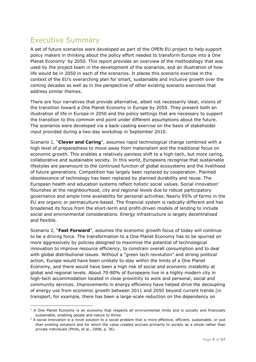## <span id="page-5-0"></span>Executive Summary

-

A set of future scenarios were developed as part of the OPEN:EU project to help support policy makers in thinking about the policy effort needed to transform Europe into a One Planet Economy<sup>1</sup> by 2050. This report provides an overview of the methodology that was used by the project team in the development of the scenarios, and an illustration of how life would be in 2050 in each of the scenarios. It places this scenario exercise in the context of the EU's overarching plan for smart, sustainable and inclusive growth over the coming decades as well as in the perspective of other existing scenario exercises that address similar themes.

There are four narratives that provide alternative, albeit not necessarily ideal, visions of the transition toward a One Planet Economy in Europe by 2050. They present both an illustration of life in Europe in 2050 and the policy settings that are necessary to support the transition to this common end point under different assumptions about the future. The scenarios were developed via a back-casting exercise on the basis of stakeholder input provided during a two-day workshop in September 2010.

Scenario 1, "Clever and Caring", assumes rapid technological change combined with a high level of preparedness to move away from materialism and the traditional focus on economic growth. This enables a relatively painless shift to a high-tech, but more caring, collaborative and sustainable society. In this world, Europeans recognise that sustainable lifestyles are paramount to the continued function of global ecosystems and the livelihood of future generations. Competition has largely been replaced by cooperation. Planned obsolescence of technology has been replaced by planned durability and reuse. The European health and education systems reflect holistic social values. Social innovation<sup>2</sup> flourishes at the neighbourhood, city and regional levels due to robust participatory governance and ample time availability for personal activities. Nearly 95% of farms in the EU are organic or permaculture-based. The financial system is radically different and has broadened its focus from the short-term and profit-driven models of lending to include social and environmental considerations. Energy infrastructure is largely decentralised and flexible.

Scenario 2, "Fast Forward", assumes the economic growth focus of today will continue to be a driving force. The transformation to a One Planet Economy has to be spurred on more aggressively by policies designed to maximise the potential of technological innovation to improve resource efficiency, to constrain overall consumption and to deal with global distributional issues. Without a "green tech revolution" and strong political action, Europe would have been unlikely to stay within the limits of a One Planet Economy, and there would have been a high risk of social and economic instability at global and regional levels. About 70-80% of Europeans live in a highly modern city in high-tech accommodation located in close proximity to work and personal, social and community services. Improvements in energy efficiency have helped drive the decoupling of energy use from economic growth between 2011 and 2050 beyond current trends (in transport, for example, there has been a large-scale reduction on the dependency on

<sup>&</sup>lt;sup>1</sup> A One Planet Economy is an economy that respects all environmental limits and is socially and financially sustainable, enabling people and nature to thrive.

 $2$  A social innovation is a novel solution to a social problem that is more effective, efficient, sustainable, or just than existing solutions and for which the value created accrues primarily to society as a whole rather than private individuals (Phills, et al., 2008, p. 36).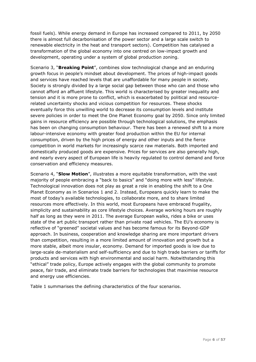fossil fuels). While energy demand in Europe has increased compared to 2011, by 2050 there is almost full decarbonisation of the power sector and a large scale switch to renewable electricity in the heat and transport sectors). Competition has catalysed a transformation of the global economy into one centred on low-impact growth and development, operating under a system of global production zoning.

Scenario 3, "**Breaking Point**", combines slow technological change and an enduring growth focus in people's mindset about development. The prices of high-impact goods and services have reached levels that are unaffordable for many people in society. Society is strongly divided by a large social gap between those who can and those who cannot afford an affluent lifestyle. This world is characterised by greater inequality and tension and it is more prone to conflict, which is exacerbated by political and resourcerelated uncertainty shocks and vicious competition for resources. These shocks eventually force this unwilling world to decrease its consumption levels and institute severe policies in order to meet the One Planet Economy goal by 2050. Since only limited gains in resource efficiency are possible through technological solutions, the emphasis has been on changing consumption behaviour. There has been a renewed shift to a more labour-intensive economy with greater food production within the EU for internal consumption, driven by the high prices of energy and other inputs and the fierce competition in world markets for increasingly scarce raw materials. Both imported and domestically produced goods are expensive. Prices for services are also generally high, and nearly every aspect of European life is heavily regulated to control demand and force conservation and efficiency measures.

Scenario 4, "Slow Motion", illustrates a more equitable transformation, with the vast majority of people embracing a "back to basics" and "doing more with less" lifestyle. Technological innovation does not play as great a role in enabling the shift to a One Planet Economy as in Scenarios 1 and 2. Instead, Europeans quickly learn to make the most of today's available technologies, to collaborate more, and to share limited resources more effectively. In this world, most Europeans have embraced frugality, simplicity and sustainability as core lifestyle choices. Average working hours are roughly half as long as they were in 2011. The average European walks, rides a bike or uses state of the art public transport rather than private road vehicles. The EU's economy is reflective of "greened" societal values and has become famous for its Beyond-GDP approach. In business, cooperation and knowledge sharing are more important drivers than competition, resulting in a more limited amount of innovation and growth but a more stable, albeit more insular, economy. Demand for imported goods is low due to large-scale de-materialism and self-sufficiency and due to high trade barriers or tariffs for products and services with high environmental and social harm. Notwithstanding this "ethical" trade policy, Europe actively engages with the global community to promote peace, fair trade, and eliminate trade barriers for technologies that maximise resource and energy use efficiencies.

Table 1 summarises the defining characteristics of the four scenarios.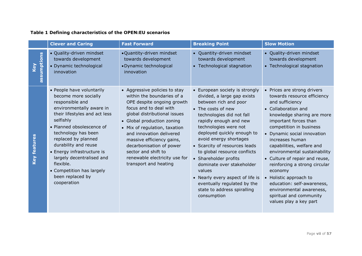### **Table 1 Defining characteristics of the OPEN:EU scenarios**

|                    | <b>Clever and Caring</b>                                                                                                                                                                                                                                                                                                                                                                  | <b>Fast Forward</b>                                                                                                                                                                                                                                                                                                                                                                      | <b>Breaking Point</b>                                                                                                                                                                                                                                                                                                                                                                                                                                                                                  | <b>Slow Motion</b>                                                                                                                                                                                                                                                                                                                                                                                                                                                                                                           |
|--------------------|-------------------------------------------------------------------------------------------------------------------------------------------------------------------------------------------------------------------------------------------------------------------------------------------------------------------------------------------------------------------------------------------|------------------------------------------------------------------------------------------------------------------------------------------------------------------------------------------------------------------------------------------------------------------------------------------------------------------------------------------------------------------------------------------|--------------------------------------------------------------------------------------------------------------------------------------------------------------------------------------------------------------------------------------------------------------------------------------------------------------------------------------------------------------------------------------------------------------------------------------------------------------------------------------------------------|------------------------------------------------------------------------------------------------------------------------------------------------------------------------------------------------------------------------------------------------------------------------------------------------------------------------------------------------------------------------------------------------------------------------------------------------------------------------------------------------------------------------------|
| assumptions<br>Key | · Quality-driven mindset<br>towards development<br>• Dynamic technological<br>innovation                                                                                                                                                                                                                                                                                                  | . Quantity-driven mindset<br>towards development<br>• Dynamic technological<br>innovation                                                                                                                                                                                                                                                                                                | • Quantity-driven mindset<br>towards development<br>• Technological stagnation                                                                                                                                                                                                                                                                                                                                                                                                                         | • Quality-driven mindset<br>towards development<br>• Technological stagnation                                                                                                                                                                                                                                                                                                                                                                                                                                                |
| Key features       | • People have voluntarily<br>become more socially<br>responsible and<br>environmentally aware in<br>their lifestyles and act less<br>selfishly<br>• Planned obsolescence of<br>technology has been<br>replaced by planned<br>durability and reuse<br>• Energy infrastructure is<br>largely decentralised and<br>flexible.<br>• Competition has largely<br>been replaced by<br>cooperation | • Aggressive policies to stay<br>within the boundaries of a<br>OPE despite ongoing growth<br>focus and to deal with<br>global distributional issues<br>• Global production zoning<br>• Mix of regulation, taxation<br>and innovation delivered<br>massive efficiency gains,<br>decarbonisation of power<br>sector and shift to<br>renewable electricity use for<br>transport and heating | • European society is strongly<br>divided, a large gap exists<br>between rich and poor<br>• The costs of new<br>technologies did not fall<br>rapidly enough and new<br>technologies were not<br>deployed quickly enough to<br>avoid energy shortages<br>• Scarcity of resources leads<br>to global resource conflicts<br>• Shareholder profits<br>dominate over stakeholder<br>values<br>• Nearly every aspect of life is<br>eventually regulated by the<br>state to address spiralling<br>consumption | • Prices are strong drivers<br>towards resource efficiency<br>and sufficiency<br>• Collaboration and<br>knowledge sharing are more<br>important forces than<br>competition in business<br>• Dynamic social innovation<br>increases human<br>capabilities, welfare and<br>environmental sustainability<br>• Culture of repair and reuse,<br>reinforcing a strong circular<br>economy<br>• Holistic approach to<br>education: self-awareness,<br>environmental awareness,<br>spiritual and community<br>values play a key part |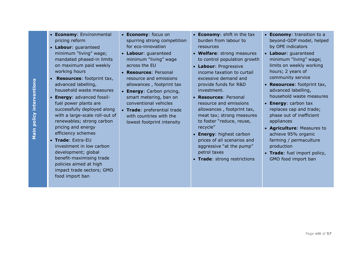- **Economy**: Environmental pricing reform
- **Labour**: guaranteed minimum "living" wage; mandated phased-in limits on maximum paid weekly working hours
- **Resources**: footprint tax, advanced labelling, household waste measures
- **Energy**: advanced fossilfuel power plants are successfully deployed along with a large-scale roll-out of renewables; strong carbon pricing and energy efficiency schemes
- **Trade**: Extra-EU investment in low carbon development; global benefit-maximising trade policies aimed at high impact trade sectors; GMO food import ban
- **Economy**: focus on spurring strong competition for eco-innovation
- **Labour**: guaranteed minimum "living" wage across the EU
- **Resources**: Personal resource and emissions allowances , footprint tax
- **Energy**: Carbon pricing, smart metering, ban on conventional vehicles
- **Trade**: preferential trade with countries with the lowest footprint intensity
- **Economy**: shift in the tax burden from labour to resources
- **Welfare**: strong measures to control population growth
- **Labour**: Progressive income taxation to curtail excessive demand and provide funds for R&D investment.
- **Resources**: Personal resource and emissions allowances , footprint tax, meat tax; strong measures to foster "reduce, reuse, recycle"
- **Energy**: highest carbon prices of all scenarios and aggressive "at the pump" petrol taxes
- **Trade**: strong restrictions
- **Economy**: transition to a beyond-GDP model, helped by OPE indicators
- **Labour**: guaranteed minimum "living" wage; limits on weekly working hours; 2 years of community service
- **Resources**: footprint tax, advanced labelling, household waste measures
- **Energy**: carbon tax replaces cap and trade; phase out of inefficient appliances
- **Agriculture**: Measures to achieve 95% organic farming / permaculture production
- **Trade**: fuel import policy, GMO food import ban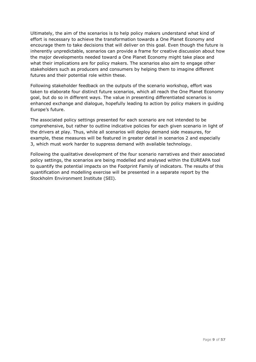Ultimately, the aim of the scenarios is to help policy makers understand what kind of effort is necessary to achieve the transformation towards a One Planet Economy and encourage them to take decisions that will deliver on this goal. Even though the future is inherently unpredictable, scenarios can provide a frame for creative discussion about how the major developments needed toward a One Planet Economy might take place and what their implications are for policy makers. The scenarios also aim to engage other stakeholders such as producers and consumers by helping them to imagine different futures and their potential role within these.

Following stakeholder feedback on the outputs of the scenario workshop, effort was taken to elaborate four distinct future scenarios, which all reach the One Planet Economy goal, but do so in different ways. The value in presenting differentiated scenarios is enhanced exchange and dialogue, hopefully leading to action by policy makers in guiding Europe's future.

The associated policy settings presented for each scenario are not intended to be comprehensive, but rather to outline indicative policies for each given scenario in light of the drivers at play. Thus, while all scenarios will deploy demand side measures, for example, these measures will be featured in greater detail in scenarios 2 and especially 3, which must work harder to suppress demand with available technology.

Following the qualitative development of the four scenario narratives and their associated policy settings, the scenarios are being modelled and analysed within the EUREAPA tool to quantify the potential impacts on the Footprint Family of indicators. The results of this quantification and modelling exercise will be presented in a separate report by the Stockholm Environment Institute (SEI).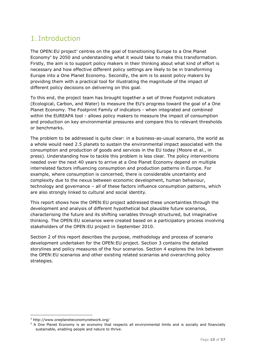## <span id="page-10-0"></span>1. Introduction

The OPEN:EU project<sup>3</sup> centres on the goal of transitioning Europe to a One Planet Economy<sup>4</sup> by 2050 and understanding what it would take to make this transformation. Firstly, the aim is to support policy makers in their thinking about what kind of effort is necessary and how effective different policy settings are likely to be in transforming Europe into a One Planet Economy. Secondly, the aim is to assist policy makers by providing them with a practical tool for illustrating the magnitude of the impact of different policy decisions on delivering on this goal.

To this end, the project team has brought together a set of three Footprint indicators (Ecological, Carbon, and Water) to measure the EU's progress toward the goal of a One Planet Economy. The Footprint Family of indicators - when integrated and combined within the EUREAPA tool - allows policy makers to measure the impact of consumption and production on key environmental pressures and compare this to relevant thresholds or benchmarks.

The problem to be addressed is quite clear: in a business-as-usual scenario, the world as a whole would need 2.5 planets to sustain the environmental impact associated with the consumption and production of goods and services in the EU today (Moore et al., in press). Understanding how to tackle this problem is less clear. The policy interventions needed over the next 40 years to arrive at a One Planet Economy depend on multiple interrelated factors influencing consumption and production patterns in Europe. For example, where consumption is concerned, there is considerable uncertainty and complexity due to the nexus between economic development, human behaviour, technology and governance – all of these factors influence consumption patterns, which are also strongly linked to cultural and social identity.

This report shows how the OPEN:EU project addressed these uncertainties through the development and analysis of different hypothetical but plausible future scenarios, characterising the future and its shifting variables through structured, but imaginative thinking. The OPEN:EU scenarios were created based on a participatory process involving stakeholders of the OPEN:EU project in September 2010.

Section 2 of this report describes the purpose, methodology and process of scenario development undertaken for the OPEN:EU project. Section 3 contains the detailed storylines and policy measures of the four scenarios. Section 4 explores the link between the OPEN:EU scenarios and other existing related scenarios and overarching policy strategies.

<sup>3</sup> http://www.oneplaneteconomynetwork.org/

<sup>4</sup> A One Planet Economy is an economy that respects all environmental limits and is socially and financially sustainable, enabling people and nature to thrive.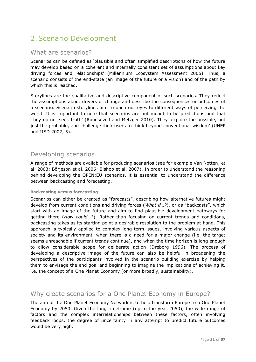## <span id="page-11-0"></span>2.Scenario Development

### What are scenarios?

Scenarios can be defined as 'plausible and often simplified descriptions of how the future may develop based on a coherent and internally consistent set of assumptions about key driving forces and relationships' (Millennium Ecosystem Assessment 2005). Thus, a scenario consists of the end-state (an image of the future or a vision) and of the path by which this is reached.

Storylines are the qualitative and descriptive component of such scenarios. They reflect the assumptions about drivers of change and describe the consequences or outcomes of a scenario. Scenario storylines aim to open our eyes to different ways of perceiving the world. It is important to note that scenarios are not meant to be predictions and that ‗they do not seek truth' (Rounsevell and Metzger 2010). They ‗explore the possible, not just the probable, and challenge their users to think beyond conventional wisdom' (UNEP and IISD 2007, 5).

### Developing scenarios

A range of methods are available for producing scenarios (see for example Van Notten, et al. 2003; Börjeson et al. 2006; Bishop et al. 2007). In order to understand the reasoning behind developing the OPEN:EU scenarios, it is essential to understand the difference between backcasting and forecasting.

#### **Backcasting versus forecasting**

Scenarios can either be created as "forecasts", describing how alternative futures might develop from current conditions and driving forces (*What if...?*), or as "backcasts", which start with an image of the future and aim to find plausible development pathways for getting there (*How could…?*). Rather than focusing on current trends and conditions, backcasting takes as its starting point a desirable resolution to the problem at hand. This approach is typically applied to complex long-term issues, involving various aspects of society and its environment, when there is a need for a major change (i.e. the target seems unreachable if current trends continue), and when the time horizon is long enough to allow considerable scope for deliberate action (Dreborg 1996). The process of developing a descriptive image of the future can also be helpful in broadening the perspectives of the participants involved in the scenario building exercise by helping them to envisage the end goal and beginning to imagine the implications of achieving it, i.e. the concept of a One Planet Economy (or more broadly, sustainability).

### Why create scenarios for a One Planet Economy in Europe?

The aim of the One Planet Economy Network is to help transform Europe to a One Planet Economy by 2050. Given the long timeframe (up to the year 2050), the wide range of factors and the complex interrelationships between these factors, often involving feedback loops, the degree of uncertainty in any attempt to predict future outcomes would be very high.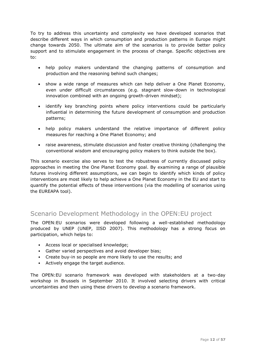To try to address this uncertainty and complexity we have developed scenarios that describe different ways in which consumption and production patterns in Europe might change towards 2050. The ultimate aim of the scenarios is to provide better policy support and to stimulate engagement in the process of change. Specific objectives are to:

- help policy makers understand the changing patterns of consumption and production and the reasoning behind such changes;
- show a wide range of measures which can help deliver a One Planet Economy, even under difficult circumstances (e.g. stagnant slow-down in technological innovation combined with an ongoing growth-driven mindset);
- identify key branching points where policy interventions could be particularly influential in determining the future development of consumption and production patterns;
- help policy makers understand the relative importance of different policy measures for reaching a One Planet Economy; and
- raise awareness, stimulate discussion and foster creative thinking (challenging the conventional wisdom and encouraging policy makers to think outside the box).

This scenario exercise also serves to test the robustness of currently discussed policy approaches in meeting the One Planet Economy goal. By examining a range of plausible futures involving different assumptions, we can begin to identify which kinds of policy interventions are most likely to help achieve a One Planet Economy in the EU and start to quantify the potential effects of these interventions (via the modelling of scenarios using the EUREAPA tool).

### Scenario Development Methodology in the OPEN:EU project

The OPEN:EU scenarios were developed following a well-established methodology produced by UNEP (UNEP, IISD 2007). This methodology has a strong focus on participation, which helps to:

- Access local or specialised knowledge;
- Gather varied perspectives and avoid developer bias;
- Create buy-in so people are more likely to use the results; and
- Actively engage the target audience.

The OPEN:EU scenario framework was developed with stakeholders at a two-day workshop in Brussels in September 2010. It involved selecting drivers with critical uncertainties and then using these drivers to develop a scenario framework.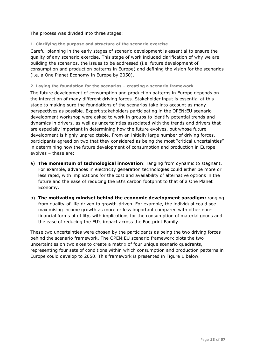#### The process was divided into three stages:

#### **1. Clarifying the purpose and structure of the scenario exercise**

Careful planning in the early stages of scenario development is essential to ensure the quality of any scenario exercise. This stage of work included clarification of why we are building the scenarios, the issues to be addressed (i.e. future development of consumption and production patterns in Europe) and defining the vision for the scenarios (i.e. a One Planet Economy in Europe by 2050).

#### **2. Laying the foundation for the scenarios – creating a scenario framework**

The future development of consumption and production patterns in Europe depends on the interaction of many different driving forces. Stakeholder input is essential at this stage to making sure the foundations of the scenarios take into account as many perspectives as possible. Expert stakeholders participating in the OPEN:EU scenario development workshop were asked to work in groups to identify potential trends and dynamics in drivers, as well as uncertainties associated with the trends and drivers that are especially important in determining how the future evolves, but whose future development is highly unpredictable. From an initially large number of driving forces, participants agreed on two that they considered as being the most "critical uncertainties" in determining how the future development of consumption and production in Europe evolves – these are:

- a) **The momentum of technological innovation**: ranging from dynamic to stagnant. For example, advances in electricity generation technologies could either be more or less rapid, with implications for the cost and availability of alternative options in the future and the ease of reducing the EU's carbon footprint to that of a One Planet Economy.
- b) **The motivating mindset behind the economic development paradigm:** ranging from quality-of-life-driven to growth-driven. For example, the individual could see maximising income growth as more or less important compared with other nonfinancial forms of utility, with implications for the consumption of material goods and the ease of reducing the EU's impact across the Footprint Family.

These two uncertainties were chosen by the participants as being the two driving forces behind the scenario framework. The OPEN:EU scenario framework plots the two uncertainties on two axes to create a matrix of four unique scenario quadrants, representing four sets of conditions within which consumption and production patterns in Europe could develop to 2050. This framework is presented in Figure 1 below.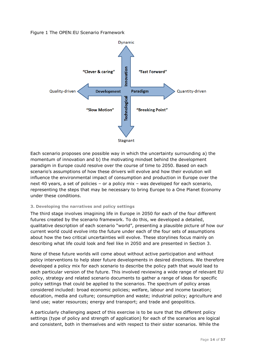#### Figure 1 The OPEN:EU Scenario Framework



Each scenario proposes one possible way in which the uncertainty surrounding a) the momentum of innovation and b) the motivating mindset behind the development paradigm in Europe could resolve over the course of time to 2050. Based on each scenario's assumptions of how these drivers will evolve and how their evolution will influence the environmental impact of consumption and production in Europe over the next 40 years, a set of policies – or a policy mix – was developed for each scenario, representing the steps that may be necessary to bring Europe to a One Planet Economy under these conditions.

#### **3. Developing the narratives and policy settings**

The third stage involves imagining life in Europe in 2050 for each of the four different futures created by the scenario framework. To do this, we developed a detailed, qualitative description of each scenario "world", presenting a plausible picture of how our current world could evolve into the future under each of the four sets of assumptions about how the two critical uncertainties will evolve. These storylines focus mainly on describing what life could look and feel like in 2050 and are presented in Section 3.

None of these future worlds will come about without active participation and without policy interventions to help steer future developments in desired directions. We therefore developed a policy mix for each scenario to describe the policy path that would lead to each particular version of the future. This involved reviewing a wide range of relevant EU policy, strategy and related scenario documents to gather a range of ideas for specific policy settings that could be applied to the scenarios. The spectrum of policy areas considered included: broad economic policies; welfare, labour and income taxation; education, media and culture; consumption and waste; industrial policy; agriculture and land use; water resources; energy and transport; and trade and geopolitics.

A particularly challenging aspect of this exercise is to be sure that the different policy settings (type of policy and strength of application) for each of the scenarios are logical and consistent, both in themselves and with respect to their sister scenarios. While the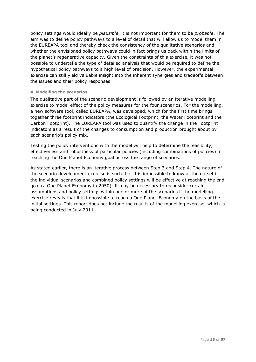policy settings would ideally be *plausible*, it is not important for them to be *probable*. The aim was to define policy pathways to a level of detail that will allow us to model them in the EUREAPA tool and thereby check the consistency of the qualitative scenarios and whether the envisioned policy pathways could in fact brings us back within the limits of the planet's regenerative capacity. Given the constraints of this exercise, it was not possible to undertake the type of detailed analysis that would be required to define the hypothetical policy pathways to a high level of precision. However, the experimental exercise can still yield valuable insight into the inherent synergies and tradeoffs between the issues and their policy responses.

#### **4. Modelling the scenarios**

The qualitative part of the scenario development is followed by an iterative modelling exercise to model effect of the policy measures for the four scenarios. For the modelling, a new software tool, called EUREAPA, was developed, which for the first time brings together three footprint indicators (the Ecological Footprint, the Water Footprint and the Carbon Footprint). The EUREAPA tool was used to quantify the change in the Footprint indicators as a result of the changes to consumption and production brought about by each scenario's policy mix.

Testing the policy interventions with the model will help to determine the feasibility, effectiveness and robustness of particular policies (including combinations of policies) in reaching the One Planet Economy goal across the range of scenarios.

As stated earlier, there is an iterative process between Step 3 and Step 4. The nature of the scenario development exercise is such that it is impossible to know at the outset if the individual scenarios and combined policy settings will be effective at reaching the end goal (a One Planet Economy in 2050). It may be necessary to reconsider certain assumptions and policy settings within one or more of the scenarios if the modelling exercise reveals that it is impossible to reach a One Planet Economy on the basis of the initial settings. This report does not include the results of the modelling exercise, which is being conducted in July 2011.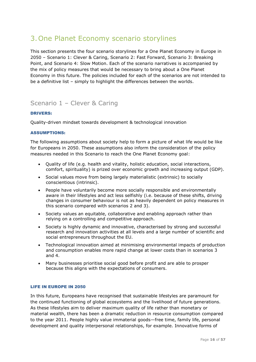## <span id="page-16-0"></span>3.One Planet Economy scenario storylines

This section presents the four scenario storylines for a One Planet Economy in Europe in 2050 – Scenario 1: Clever & Caring, Scenario 2: Fast Forward, Scenario 3: Breaking Point, and Scenario 4: Slow Motion. Each of the scenario narratives is accompanied by the mix of policy measures that would be necessary to bring about a One Planet Economy in this future. The policies included for each of the scenarios are not intended to be a definitive list – simply to highlight the differences between the worlds.

### <span id="page-16-1"></span>Scenario 1 – Clever & Caring

#### <span id="page-16-2"></span>DRIVERS:

Quality-driven mindset towards development & technological innovation

#### <span id="page-16-3"></span>ASSUMPTIONS:

The following assumptions about society help to form a picture of what life would be like for Europeans in 2050. These assumptions also inform the consideration of the policy measures needed in this Scenario to reach the One Planet Economy goal:

- Quality of life (e.g. health and vitality, holistic education, social interactions, comfort, spirituality) is prized over economic growth and increasing output (GDP).
- Social values move from being largely materialistic (extrinsic) to socially conscientious (intrinsic).
- People have voluntarily become more socially responsible and environmentally aware in their lifestyles and act less selfishly (i.e. because of these shifts, driving changes in consumer behaviour is not as heavily dependent on policy measures in this scenario compared with scenarios 2 and 3).
- Society values an equitable, collaborative and enabling approach rather than relying on a controlling and competitive approach.
- Society is highly dynamic and innovative, characterised by strong and successful research and innovation activities at all levels and a large number of scientific and social entrepreneurs throughout the EU.
- Technological innovation aimed at minimising environmental impacts of production and consumption enables more rapid change at lower costs than in scenarios 3 and 4.
- Many businesses prioritise social good before profit and are able to prosper because this aligns with the expectations of consumers.

#### <span id="page-16-4"></span>LIFE IN EUROPE IN 2050

In this future, Europeans have recognised that sustainable lifestyles are paramount for the continued functioning of global ecosystems and the livelihood of future generations. As these lifestyles aim to deliver maximum quality of life rather than monetary or material wealth, there has been a dramatic reduction in resource consumption compared to the year 2011. People highly value immaterial goods—free time, family life, personal development and quality interpersonal relationships, for example. Innovative forms of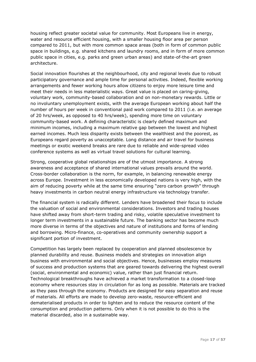housing reflect greater societal value for community. Most Europeans live in energy, water and resource efficient housing, with a smaller housing floor area per person compared to 2011, but with more common space areas (both in form of common public space in buildings, e.g. shared kitchens and laundry rooms, and in form of more common public space in cities, e.g. parks and green urban areas) and state-of-the-art green architecture.

Social innovation flourishes at the neighbourhood, city and regional levels due to robust participatory governance and ample time for personal activities. Indeed, flexible working arrangements and fewer working hours allow citizens to enjoy more leisure time and meet their needs in less materialistic ways. Great value is placed on caring-giving, voluntary work, community-based collaboration and on non-monetary rewards. Little or no involuntary unemployment exists, with the average European working about half the number of hours per week in conventional paid work compared to 2011 (i.e. an average of 20 hrs/week, as opposed to 40 hrs/week), spending more time on voluntary community-based work. A defining characteristic is clearly defined maximum and minimum incomes, including a maximum relative gap between the lowest and highest earned incomes. Much less disparity exists between the wealthiest and the poorest, as Europeans regard poverty as unacceptable. Long distance and air travel for business meetings or exotic weekend breaks are rare due to reliable and wide-spread video conference systems as well as virtual travel solutions for cultural learning.

Strong, cooperative global relationships are of the utmost importance. A strong awareness and acceptance of shared international values prevails around the world. Cross-border collaboration is the norm, for example, in balancing renewable energy across Europe. Investment in less economically developed nations is very high, with the aim of reducing poverty while at the same time ensuring "zero carbon growth" through heavy investments in carbon neutral energy infrastructure via technology transfer.

The financial system is radically different. Lenders have broadened their focus to include the valuation of social and environmental considerations. Investors and trading houses have shifted away from short-term trading and risky, volatile speculative investment to longer term investments in a sustainable future. The banking sector has become much more diverse in terms of the objectives and nature of institutions and forms of lending and borrowing. Micro-finance, co-operatives and community ownership support a significant portion of investment.

Competition has largely been replaced by cooperation and planned obsolescence by planned durability and reuse. Business models and strategies on innovation align business with environmental and social objectives. Hence, businesses employ measures of success and production systems that are geared towards delivering the highest overall (social, environmental and economic) value, rather than just financial return. Technological breakthroughs have achieved a market transformation to a closed-loop economy where resources stay in circulation for as long as possible. Materials are tracked as they pass through the economy. Products are designed for easy separation and reuse of materials. All efforts are made to develop zero-waste, resource-efficient and dematerialised products in order to lighten and to reduce the resource content of the consumption and production patterns. Only when it is not possible to do this is the material discarded, also in a sustainable way.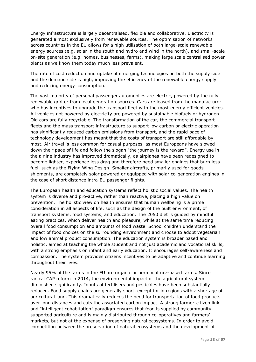Energy infrastructure is largely decentralised, flexible and collaborative. Electricity is generated almost exclusively from renewable sources. The optimisation of networks across countries in the EU allows for a high utilisation of both large-scale renewable energy sources (e.g. solar in the south and hydro and wind in the north), and small-scale on-site generation (e.g. homes, businesses, farms), making large scale centralised power plants as we know them today much less prevalent.

The rate of cost reduction and uptake of emerging technologies on both the supply side and the demand side is high, improving the efficiency of the renewable energy supply and reducing energy consumption.

The vast majority of personal passenger automobiles are electric, powered by the fully renewable grid or from local generation sources. Cars are leased from the manufacturer who has incentives to upgrade the transport fleet with the most energy efficient vehicles. All vehicles not powered by electricity are powered by sustainable biofuels or hydrogen. Old cars are fully recyclable. The transformation of the car, the commercial transport fleets and the mass transport infrastructure to support low carbon or electric operation has significantly reduced carbon emissions from transport, and the rapid pace of technology development has meant that the costs of transport are still affordable by most. Air travel is less common for casual purposes, as most Europeans have slowed down their pace of life and follow the slogan "the journey is the reward". Energy use in the airline industry has improved dramatically, as airplanes have been redesigned to become lighter, experience less drag and therefore need smaller engines that burn less fuel, such as the Flying Wing Design. Smaller aircrafts, primarily used for goods shipments, are completely solar powered or equipped with solar co-generation engines in the case of short distance intra-EU passenger flights.

The European health and education systems reflect holistic social values. The health system is diverse and pro-active, rather than reactive, placing a high value on prevention. The holistic view on health ensures that human wellbeing is a prime consideration in all aspects of life, such as the design of the built environment, of transport systems, food systems, and education. The 2050 diet is guided by mindful eating practices, which deliver health and pleasure, while at the same time reducing overall food consumption and amounts of food waste. School children understand the impact of food choices on the surrounding environment and choose to adopt vegetarian and low animal product consumption. The education system is broader based and holistic, aimed at teaching the whole student and not just academic and vocational skills, with a strong emphasis on infant and early education. It encourages self-awareness and compassion. The system provides citizens incentives to be adaptive and continue learning throughout their lives.

Nearly 95% of the farms in the EU are organic or permaculture-based farms. Since radical CAP reform in 2014, the environmental impact of the agricultural system diminished significantly. Inputs of fertilisers and pesticides have been substantially reduced. Food supply chains are generally short, except for in regions with a shortage of agricultural land. This dramatically reduces the need for transportation of food products over long distances and cuts the associated carbon impact. A strong farmer-citizen link and "intelligent cohabitation" paradigm ensures that food is supplied by communitysupported agriculture and is mainly distributed through co-operatives and farmers' markets, but not at the expense of preserving natural ecosystems. In order to avoid competition between the preservation of natural ecosystems and the development of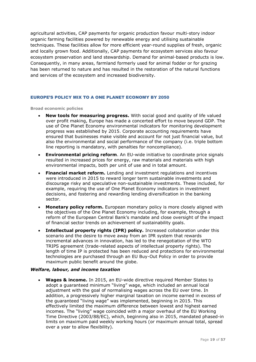agricultural activities, CAP payments for organic production favour multi-story indoor organic farming facilities powered by renewable energy and utilising sustainable techniques. These facilities allow for more efficient year-round supplies of fresh, organic and locally grown food. Additionally, CAP payments for ecosystem services also favour ecosystem preservation and land stewardship. Demand for animal-based products is low. Consequently, in many areas, farmland formerly used for animal fodder or for grazing has been returned to nature and has resulted in the restoration of the natural functions and services of the ecosystem and increased biodiversity.

#### <span id="page-19-0"></span>EUROPE'S POLICY MIX TO A ONE PLANET ECONOMY BY 2050

**Broad economic policies**

- **New tools for measuring progress.** With social good and quality of life valued over profit making, Europe has made a concerted effort to move beyond GDP. The use of One Planet Economy environmental indicators for monitoring development progress was established by 2015. Corporate accounting requirements have ensured that businesses make visible and account for not just financial value, but also the environmental and social performance of the company (i.e. triple bottom line reporting is mandatory, with penalties for noncompliance).
- **Environmental pricing reform**. An EU-wide initiative to coordinate price signals resulted in increased prices for energy, raw materials and materials with high environmental impacts, both per unit of use and in total amount.
- **Financial market reform.** Lending and investment regulations and incentives were introduced in 2015 to reward longer term sustainable investments and discourage risky and speculative non-sustainable investments. These included, for example, requiring the use of One Planet Economy indicators in investment decisions, and fostering and rewarding lending diversification in the banking sector.
- **Monetary policy reform.** European monetary policy is more closely aligned with the objectives of the One Planet Economy including, for example, through a reform of the European Central Bank's mandate and close oversight of the impact of financial sector trends on achievement of sustainability goals.
- **Intellectual property rights (IPR) policy.** Increased collaboration under this scenario and the desire to move away from an IPR system that rewards incremental advances in innovation, has led to the renegotiation of the WTO TRIPS agreement (trade-related aspects of intellectual property rights). The length of time IP is protected has been reduced and protections for environmental technologies are purchased through an EU Buy-Out Policy in order to provide maximum public benefit around the globe.

#### *Welfare, labour, and income taxation*

 **Wages & income.** In 2015, an EU-wide directive required Member States to adopt a guaranteed minimum "living" wage, which included an annual local adjustment with the goal of normalising wages across the EU over time. In addition, a progressively higher marginal taxation on income earned in excess of the guaranteed "living wage" was implemented, beginning in 2015. This effectively limited the maximum difference between lowest and highest earned incomes. The "living" wage coincided with a major overhaul of the EU Working Time Directive (2003/88/EC), which, beginning also in 2015, mandated phased-in limits on maximum paid weekly working hours (or maximum annual total, spread over a year to allow flexibility).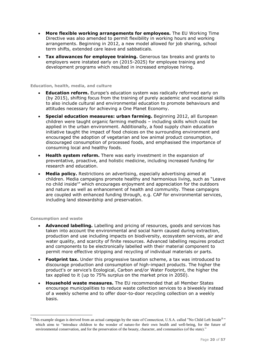- **More flexible working arrangements for employees.** The EU Working Time Directive was also amended to permit flexibility in working hours and working arrangements. Beginning in 2012, a new model allowed for job sharing, school term shifts, extended care leave and sabbaticals.
- **Tax allowances for employee training.** Generous tax breaks and grants to employers were instated early on (2015-2025) for employee training and development programs which resulted in increased employee hiring.

#### **Education, health, media, and culture**

- **Education reform.** Europe's education system was radically reformed early on (by 2015), shifting focus from the training of purely academic and vocational skills to also include cultural and environmental education to promote behaviours and attitudes necessary for achieving a One Planet Economy.
- **Special education measures: urban farming.** Beginning 2012, all European children were taught organic farming methods – including skills which could be applied in the urban environment. Additionally, a food supply chain education initiative taught the impact of food choices on the surrounding environment and encouraged the adoption of vegetarian and low animal product consumption, discouraged consumption of processed foods, and emphasised the importance of consuming local and healthy foods.
- **Health system reform.** There was early investment in the expansion of preventative, proactive, and holistic medicine, including increased funding for research and education.
- **Media policy.** Restrictions on advertising, especially advertising aimed at children. Media campaigns promote healthy and harmonious living, such as "Leave no child inside<sup>5</sup> which encourages enjoyment and appreciation for the outdoors and nature as well as enhancement of health and community. These campaigns are coupled with enhanced funding through, e.g. CAP for environmental services, including land stewardship and preservation.

#### **Consumption and waste**

- **Advanced labelling.** Labelling and pricing of resources, goods and services has taken into account the environmental and social harm caused during extraction, production and use including impacts on biodiversity, ecosystem services, air and water quality, and scarcity of finite resources. Advanced labelling requires product and components to be electronically labelled with their material component to permit more effective stripping and recycling of individual materials or parts.
- **Footprint tax.** Under this progressive taxation scheme, a tax was introduced to discourage production and consumption of high-impact products. The higher the product's or service's Ecological, Carbon and/or Water Footprint, the higher the tax applied to it (up to 75% surplus on the market price in 2050).
- **Household waste measures.** The EU recommended that all Member States encourage municipalities to reduce waste collection services to a biweekly instead of a weekly scheme and to offer door-to-door recycling collection on a weekly basis.

<sup>&</sup>lt;sup>5</sup> This example slogan is derived from an actual campaign by the state of Connecticut, U.S.A. called "No Child Left Inside<sup>®</sup>" which aims to "introduce children to the wonder of nature-for their own health and well-being, for the future of environmental conservation, and for the preservation of the beauty, character, and communities (of the state)."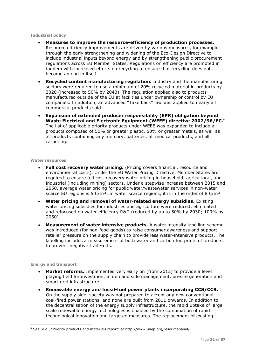#### **Industrial policy**

- **Measures to improve the resource-efficiency of production processes.**  Resource efficiency improvements are driven by various measures, for example through the early strengthening and widening of the Eco-Design Directive to include industrial inputs beyond energy and by strengthening public procurement regulations across EU Member States. Regulations on efficiency are promoted in tandem with increased efforts on recycling to ensure that recycling does not become an end in itself.
- **Recycled content manufacturing regulation.** Industry and the manufacturing sectors were required to use a minimum of 20% recycled material in products by 2020 (increased to 50% by 2040). The regulation applied also to products manufactured outside of the EU at facilities under ownership or control by EU companies. In addition, an advanced "Take back" law was applied to nearly all commercial products sold.
- **Expansion of extended producer responsibility (EPR) obligation beyond Waste Electrical and Electronic Equipment (WEEE) directive 2002/96/EC.**<sup>6</sup> The list of applicable priority products under WEEE was expanded to include all products composed of 50% or greater plastic, 50% or greater metals, as well as all products containing any mercury, batteries, all medical products, and all carpeting.

#### **Water resources**

- **Full cost recovery water pricing.** (Pricing covers financial, resource and environmental costs). Under the EU Water Pricing Directive, Member States are required to ensure full cost recovery water pricing in household, agricultural, and industrial (including mining) sectors. Under a stepwise increase between 2015 and 2050, average water pricing for public water/wastewater services in non-water scarce EU regions is  $5 \in \mathbb{R}^3$ ; in water scarce regions, it is in the order of 8  $\mathbb{R}^3$ .
- **Water pricing and removal of water-related energy subsidies.** Existing water pricing subsidies for industries and agriculture were reduced, eliminated and refocused on water efficiency R&D (reduced by up to 50% by 2030; 100% by 2050).
- **Measurement of water intensive products.** A water intensity labelling scheme was introduced (for non-food goods) to raise consumer awareness and support retailer pressure on the supply chain to provide less water-intensive products. The labelling includes a measurement of both water and carbon footprints of products, to prevent negative trade-offs.

#### **Energy and transport**

- **Market reforms.** Implemented very early on (from 2012) to provide a level playing field for investment in demand side management, on-site generation and smart grid infrastructure.
- **Renewable energy and fossil-fuel power plants incorporating CCS/CCR.** On the supply side, society was not prepared to accept any new conventional coal-fired power stations, and none are built from 2011 onwards. In addition to the decentralisation of the energy supply infrastructure, the rapid uptake of large scale renewable energy technologies is enabled by the combination of rapid technological innovation and targeted measures. The replacement of existing

 $6$  See, e.g., "Priority products and materials report" at http://www.unep.org/resourcepanel/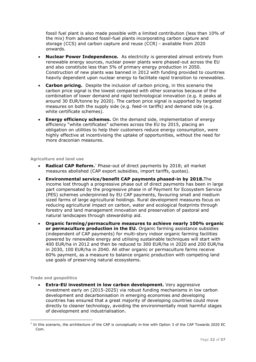fossil fuel plant is also made possible with a limited contribution (less than 10% of the mix) from advanced fossil-fuel plants incorporating carbon capture and storage (CCS) and carbon capture and reuse (CCR) - available from 2020 onwards.

- **Nuclear Power Independence.** As electricity is generated almost entirely from renewable energy sources, nuclear power plants were phased-out across the EU and also constitute less than 5% of primary energy production in 2050. Construction of new plants was banned in 2012 with funding provided to countries heavily dependent upon nuclear energy to facilitate rapid transition to renewables.
- **Carbon pricing.** Despite the inclusion of carbon pricing, in this scenario the carbon price signal is the lowest compared with other scenarios because of the combination of lower demand and rapid technological innovation (e.g. it peaks at around 30 EUR/tonne by 2020). The carbon price signal is supported by targeted measures on both the supply side (e.g. feed-in tariffs) and demand side (e.g. white certificate schemes).
- **Energy efficiency schemes.** On the demand side, implementation of energy efficiency "white certificates" schemes across the EU by 2015, placing an obligation on utilities to help their customers reduce energy consumption, were highly effective at incentivising the uptake of opportunities, without the need for more draconian measures.

#### **Agriculture and land use**

- **Radical CAP Reform.**<sup>7</sup> Phase-out of direct payments by 2018; all market measures abolished (CAP export subsidies, import tariffs, quotas).
- **Environmental service/benefit CAP payments phased-in by 2018.**The income lost through a progressive phase out of direct payments has been in large part compensated by the progressive phase in of Payment for Ecosystem Service (PES) schemes underpinnied by EU CAP payments, favouring small and medium sized farms of large agricultural holdings. Rural development measures focus on reducing agricultural impact on carbon, water and ecological footprints through forestry and land management innovation and preservation of pastoral and natural landscapes through stewardship aid.
- **Organic farming/permaculture measures to achieve nearly 100% organic or permaculture production in the EU.** Organic farming assistance subsidies (independent of CAP payments) for multi-story indoor organic farming facilities powered by renewable energy and utilising sustainable techniques will start with 400 EUR/ha in 2012 and then be reduced to 300 EUR/ha in 2020 and 200 EUR/ha in 2030, 100 EUR/ha in 2040. All other organic or permaculture farms receive 60% payment, as a measure to balance organic production with competing land use goals of preserving natural ecosystems.

#### **Trade and geopolitics**

-

**Extra-EU investment in low carbon development.** Very aggressive investment early on (2015-2025) via robust funding mechanisms in low carbon development and decarbonisation in emerging economies and developing countries has ensured that a great majority of developing countries could move directly to cleaner technology, avoiding the environmentally most harmful stages of development and industrialisation.

<sup>&</sup>lt;sup>7</sup> In this scenario, the architecture of the CAP is conceptually in-line with Option 3 of the CAP Towards 2020 EC Com.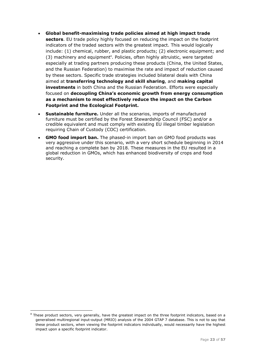- **Global benefit-maximising trade policies aimed at high impact trade sectors**. EU trade policy highly focused on reducing the impact on the footprint indicators of the traded sectors with the greatest impact. This would logically include: (1) chemical, rubber, and plastic products; (2) electronic equipment; and (3) machinery and equipment<sup>8</sup>. Policies, often highly altruistic, were targeted especially at trading partners producing these products (China, the United States, and the Russian Federation) to maximise the rate and impact of reduction caused by these sectors. Specific trade strategies included bilateral deals with China aimed at **transferring technology and skill sharing**, and **making capital investments** in both China and the Russian Federation. Efforts were especially focused on **decoupling China's economic growth from energy consumption as a mechanism to most effectively reduce the impact on the Carbon Footprint and the Ecological Footprint.**
- **Sustainable furniture.** Under all the scenarios, imports of manufactured furniture must be certified by the Forest Stewardship Council (FSC) and/or a credible equivalent and must comply with existing EU illegal timber legislation requiring Chain of Custody (COC) certification.
- **GMO food import ban.** The phased-in import ban on GMO food products was very aggressive under this scenario, with a very short schedule beginning in 2014 and reaching a complete ban by 2018. These measures in the EU resulted in a global reduction in GMOs, which has enhanced biodiversity of crops and food security.

<sup>&</sup>lt;sup>8</sup> These product sectors, very generally, have the greatest impact on the three footprint indicators, based on a generalised multiregional input-output (MRIO) analysis of the 2004 GTAP 7 database. This is not to say that these product sectors, when viewing the footprint indicators individually, would necessarily have the highest impact upon a specific footprint indicator.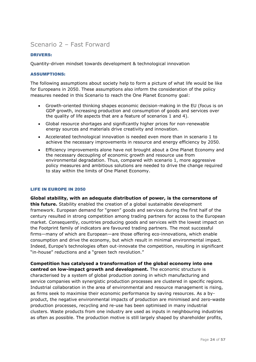### <span id="page-24-0"></span>Scenario 2 – Fast Forward

#### <span id="page-24-1"></span>DRIVERS:

Quantity-driven mindset towards development & technological innovation

#### <span id="page-24-2"></span>ASSUMPTIONS:

The following assumptions about society help to form a picture of what life would be like for Europeans in 2050. These assumptions also inform the consideration of the policy measures needed in this Scenario to reach the One Planet Economy goal:

- Growth-oriented thinking shapes economic decision-making in the EU (focus is on GDP growth, increasing production and consumption of goods and services over the quality of life aspects that are a feature of scenarios 1 and 4).
- Global resource shortages and significantly higher prices for non-renewable energy sources and materials drive creativity and innovation.
- Accelerated technological innovation is needed even more than in scenario 1 to achieve the necessary improvements in resource and energy efficiency by 2050.
- Efficiency improvements alone have not brought about a One Planet Economy and the necessary decoupling of economic growth and resource use from environmental degradation. Thus, compared with scenario 1, more aggressive policy measures and ambitious solutions are needed to drive the change required to stay within the limits of One Planet Economy.

#### <span id="page-24-3"></span>LIFE IN EUROPE IN 2050

**Global stability, with an adequate distribution of power, is the cornerstone of this future.** Stability enabled the creation of a global sustainable development framework. European demand for "green" goods and services during the first half of the century resulted in strong competition among trading partners for access to the European market. Consequently, countries producing goods and services with the lowest impact on the Footprint family of indicators are favoured trading partners. The most successful firms—many of which are European—are those offering eco-innovations, which enable consumption and drive the economy, but which result in minimal environmental impact. Indeed, Europe's technologies often out-innovate the competition, resulting in significant "in-house" reductions and a "green tech revolution."

**Competition has catalysed a transformation of the global economy into one centred on low-impact growth and development.** The economic structure is characterised by a system of global production zoning in which manufacturing and service companies with synergistic production processes are clustered in specific regions. Industrial collaboration in the area of environmental and resource management is rising, as firms seek to maximise their economic performance by saving resources. As a byproduct, the negative environmental impacts of production are minimised and zero-waste production processes, recycling and re-use has been optimised in many industrial clusters. Waste products from one industry are used as inputs in neighbouring industries as often as possible. The production motive is still largely shaped by shareholder profits,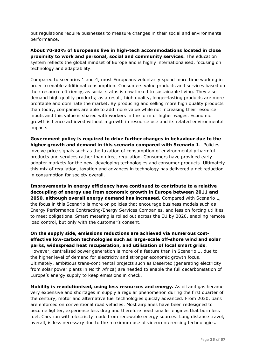but regulations require businesses to measure changes in their social and environmental performance.

**About 70-80% of Europeans live in high-tech accommodations located in close proximity to work and personal, social and community services.** The education system reflects the global mindset of Europe and is highly internationalised, focusing on technology and adaptability.

Compared to scenarios 1 and 4, most Europeans voluntarily spend more time working in order to enable additional consumption. Consumers value products and services based on their resource efficiency, as social status is now linked to sustainable living. They also demand high quality products; as a result, high quality, longer-lasting products are more profitable and dominate the market. By producing and selling more high quality products than today, companies are able to add more value while not increasing their resource inputs and this value is shared with workers in the form of higher wages. Economic growth is hence achieved without a growth in resource use and its related environmental impacts.

**Government policy is required to drive further changes in behaviour due to the higher growth and demand in this scenario compared with Scenario 1**. Policies involve price signals such as the taxation of consumption of environmentally-harmful products and services rather than direct regulation. Consumers have provided early adopter markets for the new, developing technologies and consumer products. Ultimately this mix of regulation, taxation and advances in technology has delivered a net reduction in consumption for society overall.

**Improvements in energy efficiency have continued to contribute to a relative decoupling of energy use from economic growth in Europe between 2011 and 2050, although overall energy demand has increased.** Compared with Scenario 1, the focus in this Scenario is more on policies that encourage business models such as Energy Performance Contracting/Energy Services Companies, and less on forcing utilities to meet obligations. Smart metering is rolled out across the EU by 2020, enabling remote load control, but only with the customer's consent.

**On the supply side, emissions reductions are achieved via numerous costeffective low-carbon technologies such as large-scale off-shore wind and solar parks, widespread heat recuperation, and utilisation of local smart grids**. However, centralised power generation is more of a feature than in Scenario 1, due to the higher level of demand for electricity and stronger economic growth focus. Ultimately, ambitious trans-continental projects such as Desertec (generating electricity from solar power plants in North Africa) are needed to enable the full decarbonisation of Europe's energy supply to keep emissions in check.

**Mobility is revolutionised, using less resources and energy.** As oil and gas became very expensive and shortages in supply a regular phenomenon during the first quarter of the century, motor and alternative fuel technologies quickly advanced. From 2030, bans are enforced on conventional road vehicles. Most airplanes have been redesigned to become lighter, experience less drag and therefore need smaller engines that burn less fuel. Cars run with electricity made from renewable energy sources. Long distance travel, overall, is less necessary due to the maximum use of videoconferencing technologies.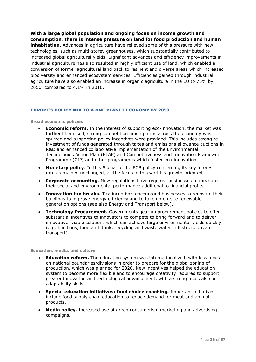**With a large global population and ongoing focus on income growth and consumption, there is intense pressure on land for food production and human** 

**inhabitation.** Advances in agriculture have relieved some of this pressure with new technologies, such as multi-storey greenhouses, which substantially contributed to increased global agricultural yields. Significant advances and efficiency improvements in industrial agriculture has also resulted in highly efficient use of land, which enabled a conversion of former agricultural land back to resilient and diverse areas which increased biodiversity and enhanced ecosystem services. Efficiencies gained through industrial agriculture have also enabled an increase in organic agriculture in the EU to 75% by 2050, compared to 4.1% in 2010.

#### <span id="page-26-0"></span>EUROPE'S POLICY MIX TO A ONE PLANET ECONOMY BY 2050

#### **Broad economic policies**

- **Economic reform.** In the interest of supporting eco-innovation, the market was further liberalised, strong competition among firms across the economy was spurred and supporting policy incentives were provided. This includes strong reinvestment of funds generated through taxes and emissions allowance auctions in R&D and enhanced collaborative implementation of the Environmental Technologies Action Plan (ETAP) and Competitiveness and Innovation Framework Programme (CIP) and other programmes which foster eco-innovation
- **Monetary policy**. In this Scenario, the ECB policy concerning its key interest rates remained unchanged, as the focus in this world is growth-oriented.
- **Corporate accounting**. New regulations have required businesses to measure their social and environmental performance additional to financial profits.
- **Innovation tax breaks.** Tax-incentives encouraged businesses to renovate their buildings to improve energy efficiency and to take up on-site renewable generation options (see also Energy and Transport below).
- **Technology Procurement.** Governments gear up procurement policies to offer substantial incentives to innovators to compete to bring forward and to deliver innovative, viable solutions which can achieve large environmental yields quickly (e.g. buildings, food and drink, recycling and waste water industries, private transport).

#### **Education, media, and culture**

- **Education reform.** The education system was internationalized, with less focus on national boundaries/divisions in order to prepare for the global zoning of production, which was planned for 2020. New incentives helped the education system to become more flexible and to encourage creativity required to support greater innovation and technological advancement, with a strong focus also on adaptability skills.
- **Special education initiatives: food choice coaching.** Important initiatives include food supply chain education to reduce demand for meat and animal products.
- **Media policy.** Increased use of green consumerism marketing and advertising campaigns.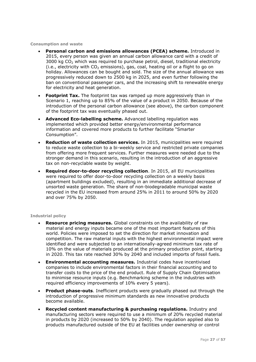**Consumption and waste**

- **Personal carbon and emissions allowances (PCEA) scheme.** Introduced in 2015, every person was given an annual carbon allowance card with a credit of 3000 kg  $CO<sub>2</sub>$  which was required to purchase petrol, diesel, traditional electricity (i.e., electricity with  $CO<sub>2</sub>$  emissions), gas, coal, heating oil or a flight to go on holiday. Allowances can be bought and sold. The size of the annual allowance was progressively reduced down to 2500 kg in 2025, and even further following the ban on conventional passenger cars, and the increasing shift to renewable energy for electricity and heat generation.
- **Footprint Tax.** The footprint tax was ramped up more aggressively than in Scenario 1, reaching up to 85% of the value of a product in 2050. Because of the introduction of the personal carbon allowance (see above), the carbon component of the footprint tax was eventually phased out.
- **Advanced Eco-labelling scheme.** Advanced labelling regulation was implemented which provided better energy/environmental performance information and covered more products to further facilitate "Smarter Consumption".
- **Reduction of waste collection services.** In 2015, municipalities were required to reduce waste collection to a bi-weekly service and restricted private companies from offering more frequent services. Further measures were needed due to the stronger demand in this scenario, resulting in the introduction of an aggressive tax on non-recyclable waste by weight.
- **Required door-to-door recycling collection**. In 2015, all EU municipalities were required to offer door-to-door recycling collection on a weekly basis (apartment buildings excluded), resulting in an immediate additional decrease of unsorted waste generation. The share of non-biodegradable municipal waste recycled in the EU increased from around 25% in 2011 to around 50% by 2020 and over 75% by 2050.

#### **Industrial policy**

- **Resource pricing measures.** Global constraints on the availability of raw material and energy inputs became one of the most important features of this world. Policies were imposed to set the direction for market innovation and competition. The raw material inputs with the highest environmental impact were identified and were subjected to an internationally-agreed minimum tax rate of 10% on the value of materials produced at the primary production point, starting in 2020. This tax rate reached 30% by 2040 and included imports of fossil fuels.
- **Environmental accounting measures.** Industrial codes have incentivised companies to include environmental factors in their financial accounting and to transfer costs to the price of the end product. Rule of Supply Chain Optimisation to minimise resource inputs (e.g. Benchmarking scheme in the industries with required efficiency improvements of 10% every 5 years).
- **Product phase-outs**. Inefficient products were gradually phased out through the introduction of progressive minimum standards as new innovative products become available.
- **Recycled content manufacturing & purchasing regulations.** Industry and manufacturing sectors were required to use a minimum of 20% recycled material in products by 2020 (increased to 50% by 2040). The regulation applied also to products manufactured outside of the EU at facilities under ownership or control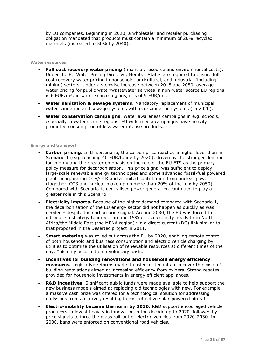by EU companies. Beginning in 2020, a wholesaler and retailer purchasing obligation mandated that products must contain a minimum of 20% recycled materials (increased to 50% by 2040).

#### **Water resources**

- **Full cost recovery water pricing** (financial, resource and environmental costs). Under the EU Water Pricing Directive, Member States are required to ensure full cost recovery water pricing in household, agricultural, and industrial (including mining) sectors. Under a stepwise increase between 2015 and 2050, average water pricing for public water/wastewater services in non-water scarce EU regions is 6 EUR/ $m<sup>3</sup>$ ; in water scarce regions, it is of 9 EUR/ $m<sup>3</sup>$ .
- **Water sanitation & sewage systems.** Mandatory replacement of municipal water sanitation and sewage systems with eco-sanitation systems (ca 2020).
- **Water conservation campaigns**. Water awareness campaigns in e.g. schools, especially in water scarce regions. EU wide media campaigns have heavily promoted consumption of less water intense products.

#### **Energy and transport**

- **Carbon pricing.** In this Scenario, the carbon price reached a higher level than in Scenario 1 (e.g. reaching 40 EUR/tonne by 2020), driven by the stronger demand for energy and the greater emphasis on the role of the EU ETS as the primary policy measure for decarbonisation. This price signal was sufficient to deploy large-scale renewable energy technologies and some advanced fossil-fuel powered plant incorporating CCS/CCR and a limited contribution from nuclear power (together, CCS and nuclear make up no more than 20% of the mix by 2050). Compared with Scenario 1, centralised power generation continued to play a greater role in this Scenario.
- **Electricity imports.** Because of the higher demand compared with Scenario 1, the decarbonisation of the EU energy sector did not happen as quickly as was needed - despite the carbon price signal. Around 2030, the EU was forced to introduce a strategy to import around 15% of its electricity needs from North Africa/the Middle East (the MENA region) via a direct current (DC) link similar to that proposed in the Desertec project in 2011.
- **Smart metering** was rolled out across the EU by 2020, enabling remote control of both household and business consumption and electric vehicle charging by utilities to optimise the utilisation of renewable resources at different times of the day. This only occurred on a voluntary basis.
- **Incentives for building renovations and household energy efficiency measures.** Legislative reforms made it easier for tenants to recover the costs of building renovations aimed at increasing efficiency from owners. Strong rebates provided for household investments in energy efficient appliances.
- **R&D incentives.** Significant public funds were made available to help support the new business models aimed at replacing old technologies with new. For example, a massive cash prize was offered for a technological solution for addressing emissions from air travel, resulting in cost-effective solar-powered aircraft.
- **Electro-mobility became the norm by 2030.** R&D support encouraged vehicle producers to invest heavily in innovation in the decade up to 2020, followed by price signals to force the mass roll-out of electric vehicles from 2020-2030. In 2030, bans were enforced on conventional road vehicles.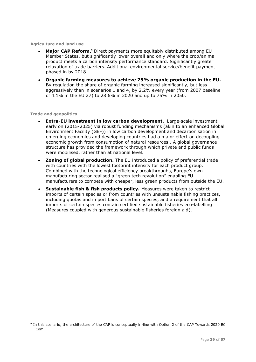**Agriculture and land use**

- **Major CAP Reform.<sup>9</sup>** Direct payments more equitably distributed among EU Member States, but significantly lower overall and only where the crop/animal product meets a carbon intensity performance standard. Significantly greater relaxation of trade barriers. Additional environmental service/benefit payment phased in by 2018.
- **Organic farming measures to achieve 75% organic production in the EU.** By regulation the share of organic farming increased significantly, but less aggressively than in scenarios 1 and 4, by 2.2% every year (from 2007 baseline of 4.1% in the EU 27) to 28.6% in 2020 and up to 75% in 2050.

#### **Trade and geopolitics**

- **Extra-EU investment in low carbon development.** Large-scale investment early on (2015-2025) via robust funding mechanisms (akin to an enhanced Global Environment Facility (GEF)) in low carbon development and decarbonisation in emerging economies and developing countries had a major effect on decoupling economic growth from consumption of natural resources . A global governance structure has provided the framework through which private and public funds were mobilised, rather than at national level.
- **Zoning of global production.** The EU introduced a policy of preferential trade with countries with the lowest footprint intensity for each product group. Combined with the technological efficiency breakthroughs, Europe's own manufacturing sector realised a "green tech revolution" enabling EU manufacturers to compete with cheaper, less green products from outside the EU.
- **Sustainable fish & fish products policy.** Measures were taken to restrict imports of certain species or from countries with unsustainable fishing practices, including quotas and import bans of certain species, and a requirement that all imports of certain species contain certified sustainable fisheries eco-labelling (Measures coupled with generous sustainable fisheries foreign aid).

<sup>&</sup>lt;sup>9</sup> In this scenario, the architecture of the CAP is conceptually in-line with Option 2 of the CAP Towards 2020 EC Com.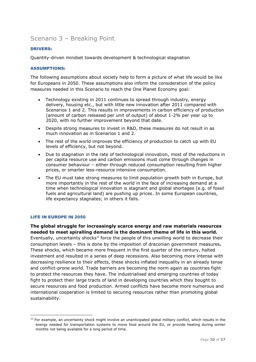## <span id="page-30-0"></span>Scenario 3 – Breaking Point

#### <span id="page-30-1"></span>DRIVERS:

Quantity-driven mindset towards development & technological stagnation

#### <span id="page-30-2"></span>ASSUMPTIONS:

The following assumptions about society help to form a picture of what life would be like for Europeans in 2050. These assumptions also inform the consideration of the policy measures needed in this Scenario to reach the One Planet Economy goal:

- Technology existing in 2011 continues to spread through industry, energy delivery, housing etc., but with little new innovation after 2011 compared with Scenarios 1 and 2. This results in improvements in carbon efficiency of production (amount of carbon released per unit of output) of about 1-2% per year up to 2020, with no further improvement beyond that date.
- Despite strong measures to invest in R&D, these measures do not result in as much innovation as in Scenarios 1 and 2.
- The rest of the world improves the efficiency of production to catch up with EU levels of efficiency, but not beyond.
- Due to stagnation in the rate of technological innovation, most of the reductions in per capita resource use and carbon emissions must come through changes in consumer behaviour – either through reduced consumption resulting from higher prices, or smarter less-resource intensive consumption.
- The EU must take strong measures to limit population growth both in Europe, but more importantly in the rest of the world in the face of increasing demand at a time when technological innovation is stagnant and global shortages (e.g. of fossil fuels and agricultural land) are pushing up prices. In some European countries, life expectancy stagnates; in others it falls.

#### <span id="page-30-3"></span>LIFE IN EUROPE IN 2050

-

**The global struggle for increasingly scarce energy and raw materials resources needed to meet spiralling demand is the dominant theme of life in this world.**  Eventually, uncertainty shocks<sup>10</sup> force the people of this unwilling world to decrease their consumption levels – this is done by the imposition of draconian government measures**.**  These shocks, which became more frequent in the first quarter of the century, halted investment and resulted in a series of deep recessions. Also becoming more intense with decreasing resilience to their effects, these shocks inflated inequality in an already tense and conflict-prone world. Trade barriers are becoming the norm again as countries fight to protect the resources they have. The industrialised and emerging countries of today fight to protect their large tracts of land in developing countries which they bought to secure resources and food production. Armed conflicts have become more numerous and international cooperation is limited to securing resources rather than promoting global sustainability.

 $10$  For example, an uncertainty shock might involve an unanticipated global military conflict, which results in the energy needed for transportation systems to move food around the EU, or provide heating during winter months not being available for a long period of time.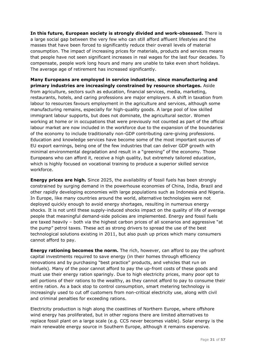**In this future, European society is strongly divided and work-obsessed.** There is a large social gap between the very few who can still afford affluent lifestyles and the masses that have been forced to significantly reduce their overall levels of material consumption. The impact of increasing prices for materials, products and services means that people have not seen significant increases in real wages for the last four decades. To compensate, people work long hours and many are unable to take even short holidays. The average age of retirement has increased significantly.

**Many Europeans are employed in service industries**, **since manufacturing and primary industries are increasingly constrained by resource shortages.** Aside from agriculture, sectors such as education, financial services, media, marketing, restaurants, hotels, and caring professions are major employers. A shift in taxation from labour to resources favours employment in the agriculture and services, although some manufacturing remains, especially for high-quality goods. A large pool of low skilled immigrant labour supports, but does not dominate, the agricultural sector. Women working at home or in occupations that were previously not counted as part of the official labour market are now included in the workforce due to the expansion of the boundaries of the economy to include traditionally non-GDP contributing care-giving professions. Education and knowledge services have become some of the most important sources of EU export earnings, being one of the few industries that can deliver GDP growth with minimal environmental degradation and result in a "greening" of the economy. Those Europeans who can afford it, receive a high quality, but extremely tailored education, which is highly focused on vocational training to produce a superior skilled service workforce.

**Energy prices are high.** Since 2025, the availability of fossil fuels has been strongly constrained by surging demand in the powerhouse economies of China, India, Brazil and other rapidly developing economies with large populations such as Indonesia and Nigeria. In Europe, like many countries around the world, alternative technologies were not deployed quickly enough to avoid energy shortages, resulting in numerous energy shocks. It is not until these supply-induced shocks impact on the quality of life of average people that meaningful demand-side policies are implemented. Energy and fossil fuels are taxed heavily - both via the highest carbon prices of all scenarios and aggressive "at the pump" petrol taxes. These act as strong drivers to spread the use of the best technological solutions existing in 2011, but also push up prices which many consumers cannot afford to pay.

**Energy rationing becomes the norm.** The rich, however, can afford to pay the upfront capital investments required to save energy (in their homes through efficiency renovations and by purchasing "best practice" products, and vehicles that run on biofuels). Many of the poor cannot afford to pay the up-front costs of these goods and must use their energy ration sparingly. Due to high electricity prices, many poor opt to sell portions of their rations to the wealthy, as they cannot afford to pay to consume their entire ration. As a back stop to control consumption, smart metering technology is increasingly used to cut off customers from non-critical electricity use, along with civil and criminal penalties for exceeding rations.

Electricity production is high along the coastlines of Northern Europe, where offshore wind energy has proliferated, but in other regions there are limited alternatives to replace fossil plant on a large scale (e.g. CCS never becomes viable). Solar energy is the main renewable energy source in Southern Europe, although it remains expensive.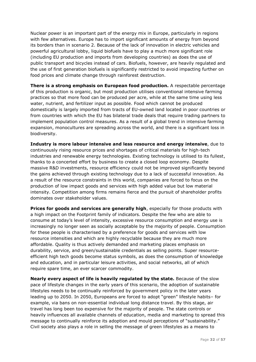Nuclear power is an important part of the energy mix in Europe, particularly in regions with few alternatives. Europe has to import significant amounts of energy from beyond its borders than in scenario 2. Because of the lack of innovation in electric vehicles and powerful agricultural lobby, liquid biofuels have to play a much more significant role (including EU production and imports from developing countries) as does the use of public transport and bicycles instead of cars. Biofuels, however, are heavily regulated and the use of first generation biofuels is significantly restricted to avoid impacting further on food prices and climate change through rainforest destruction.

**There is a strong emphasis on European food production.** A respectable percentage of this production is organic, but most production utilises conventional intensive farming practices so that more food can be produced per acre, while at the same time using less water, nutrient, and fertilizer input as possible. Food which cannot be produced domestically is largely imported from tracts of EU-owned land located in poor countries or from countries with which the EU has bilateral trade deals that require trading partners to implement population control measures. As a result of a global trend in intensive farming expansion, monocultures are spreading across the world, and there is a significant loss in biodiversity.

**Industry is more labour intensive and less resource and energy intensive**, due to continuously rising resource prices and shortages of critical materials for high-tech industries and renewable energy technologies. Existing technology is utilised to its fullest, thanks to a concerted effort by business to create a closed loop economy. Despite massive R&D investments, resource efficiency could not be improved significantly beyond the gains achieved through existing technology due to a lack of successful innovation. As a result of the resource constraints in this world, companies are forced to focus on the production of low impact goods and services with high added value but low material intensity. Competition among firms remains fierce and the pursuit of shareholder profits dominates over stakeholder values.

**Prices for goods and services are generally high**, especially for those products with a high impact on the Footprint family of indicators. Despite the few who are able to consume at today's level of intensity, excessive resource consumption and energy use is increasingly no longer seen as socially acceptable by the majority of people. Consumption for these people is characterised by a preference for goods and services with low resource intensities and which are highly recyclable because they are much more affordable. Quality is thus actively demanded and marketing places emphasis on durability, service, and green/sustainable credentials as selling points. Super resourceefficient high tech goods become status symbols, as does the consumption of knowledge and education, and in particular leisure activities, and social networks, all of which require spare time, an ever scarcer commodity.

**Nearly every aspect of life is heavily regulated by the state.** Because of the slow pace of lifestyle changes in the early years of this scenario, the adoption of sustainable lifestyles needs to be continually reinforced by government policy in the later years leading up to 2050. In 2050, Europeans are forced to adopt "green" lifestyle habits- for example, via bans on non-essential individual long distance travel. By this stage, air travel has long been too expensive for the majority of people. The state controls or heavily influences all available channels of education, media and marketing to spread this message to continually reinforce its adoption and mould perceptions of "sustainability." Civil society also plays a role in selling the message of green lifestyles as a means to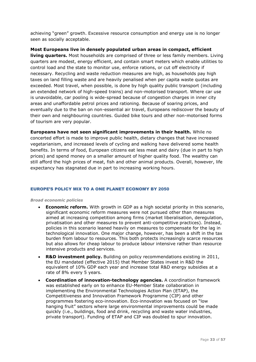achieving "green" growth. Excessive resource consumption and energy use is no longer seen as socially acceptable.

**Most Europeans live in densely populated urban areas in compact, efficient living quarters.** Most households are comprised of three or less family members. Living quarters are modest, energy efficient, and contain smart meters which enable utilities to control load and the state to monitor use, enforce rations, or cut off electricity if necessary. Recycling and waste reduction measures are high, as households pay high taxes on land filling waste and are heavily penalised when per capita waste quotas are exceeded. Most travel, when possible, is done by high quality public transport (including an extended network of high-speed trains) and non-motorised transport. Where car use is unavoidable, car pooling is wide-spread because of congestion charges in inner city areas and unaffordable petrol prices and rationing. Because of soaring prices, and eventually due to the ban on non-essential air travel, Europeans rediscover the beauty of their own and neighbouring countries. Guided bike tours and other non-motorised forms of tourism are very popular.

**Europeans have not seen significant improvements in their health.** While no concerted effort is made to improve public health, dietary changes that have increased vegetarianism, and increased levels of cycling and walking have delivered some health benefits. In terms of food, European citizens eat less meat and dairy (due in part to high prices) and spend money on a smaller amount of higher quality food. The wealthy can still afford the high prices of meat, fish and other animal products. Overall, however, life expectancy has stagnated due in part to increasing working hours.

#### <span id="page-33-0"></span>EUROPE'S POLICY MIX TO A ONE PLANET ECONOMY BY 2050

#### *Broad economic policies*

- **Economic reform.** With growth in GDP as a high societal priority in this scenario, significant economic reform measures were not pursued other than measures aimed at increasing competition among firms (market liberalisation, deregulation, privatisation and other measures to prevent anti-competitive practices). Instead, policies in this scenario leaned heavily on measures to compensate for the lag in technological innovation. One major change, however, has been a shift in the tax burden from labour to resources. This both protects increasingly scarce resources but also allows for cheap labour to produce labour intensive rather than resource intensive products and services.
- **R&D investment policy.** Building on policy recommendations existing in 2011, the EU mandated (effective 2015) that Member States invest in R&D the equivalent of 10% GDP each year and increase total R&D energy subsidies at a rate of 8% every 5 years.
- **Coordination of innovation-technology agencies.** A coordination framework was established early on to enhance EU-Member State collaboration in implementing the Environmental Technologies Action Plan (ETAP), the Competitiveness and Innovation Framework Programme (CIP) and other programmes fostering eco-innovation. Eco-innovation was focused on "low hanging fruit" sectors where large environmental improvements could be made quickly (i.e., buildings, food and drink, recycling and waste water industries, private transport). Funding of ETAP and CIP was doubled to spur innovation.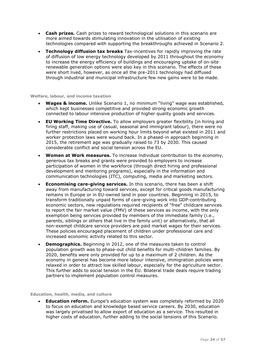- **Cash prizes.** Cash prizes to reward technological solutions in this scenario are more aimed towards stimulating innovation in the utilisation of existing technologies compared with supporting the breakthroughs achieved in Scenario 2.
- **Technology diffusion tax breaks** Tax-incentives for rapidly improving the rate of diffusion of low energy technology developed by 2011 throughout the economy to increase the energy efficiency of buildings and encouraging uptake of on-site renewable generation options were also key in this scenario. The effects of these were short lived, however, as once all the pre-2011 technology had diffused through industrial and municipal infrastructure few new gains were to be made.

#### **Welfare, labour, and income taxation**

- **Wages & income.** Unlike Scenario 1, no minimum "living" wage was established, which kept businesses competitive and provided strong economic growth connected to labour intensive production of higher quality goods and services.
- **EU Working Time Directive.** To allow employers greater flexibility (in hiring and firing staff, making use of casual, seasonal and immigrant labour), there were no further restrictions placed on working hour limits beyond what existed in 2011 and worker protection laws were wound back. In a phased-in approach beginning in 2015, the retirement age was gradually raised to 73 by 2030. This caused considerable conflict and social tension across the EU.
- **Women at Work measures.** To increase individual contribution to the economy, generous tax breaks and grants were provided to employers to increase participation of women in the workforce (through direct hiring and professional development and mentoring programs), especially in the information and communication technologies (ITC), computing, media and marketing sectors.
- **Economising care-giving services.** In this scenario, there has been a shift away from manufacturing toward services, except for critical goods manufacturing remains in Europe or in EU-owned land in poor countries. Beginning in 2015, to transform traditionally unpaid forms of care-giving work into GDP-contributing economic sectors, new regulations required recipients of "free" childcare services to report the fair market value (FMV) of these services as income, with the only exemption being services provided by members of the immediate family (i.e., parents, siblings or others that live in the family unit) or alternatively, that all non-exempt childcare service providers are paid market wages for their services. These policies encouraged placement of children under professional care and increased economic activity related to this sector.
- **Demographics.** Beginning in 2012, one of the measures taken to control population growth was to phase-out child benefits for multi-children families. By 2020, benefits were only provided for up to a maximum of 2 children. As the economy in general has become more labour intensive, immigration policies were relaxed in order to attract low skilled labour, especially for the agriculture sector. This further adds to social tension in the EU. Bilateral trade deals require trading partners to implement population control measures.

#### **Education, health, media, and culture**

 **Education reform.** Europe's education system was completely reformed by 2020 to focus on education and knowledge based service careers. By 2030, education was largely privatised to allow export of education as a service. This resulted in higher costs of education, further adding to the social tensions of this Scenario.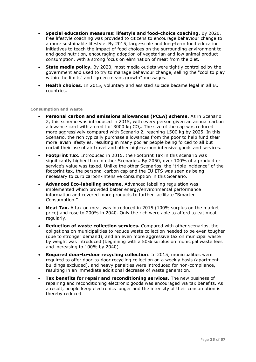- **Special education measures: lifestyle and food-choice coaching.** By 2020, free lifestyle coaching was provided to citizens to encourage behaviour change to a more sustainable lifestyle. By 2015, large-scale and long-term food education initiatives to teach the impact of food choices on the surrounding environment to and good nutrition, encouraging adoption of vegetarian and low animal product consumption, with a strong focus on elimination of meat from the diet.
- **State media policy.** By 2020, most media outlets were tightly controlled by the government and used to try to manage behaviour change, selling the "cool to play within the limits" and "green means growth" messages.
- **Health choices.** In 2015, voluntary and assisted suicide became legal in all EU countries.

#### **Consumption and waste**

- **Personal carbon and emissions allowances (PCEA) scheme.** As in Scenario 2, this scheme was introduced in 2015, with every person given an annual carbon allowance card with a credit of 3000 kg  $CO<sub>2</sub>$ . The size of the cap was reduced more aggressively compared with Scenario 2, reaching 1500 kg by 2025. In this Scenario, the rich typically purchase allowances from the poor to help fund their more lavish lifestyles, resulting in many poorer people being forced to all but curtail their use of air travel and other high-carbon intensive goods and services.
- **Footprint Tax.** Introduced in 2015, the Footprint Tax in this scenario was significantly higher than in other Scenarios. By 2050, over 100% of a product or service's value was taxed. Unlike the other Scenarios, the "triple incidence" of the footprint tax, the personal carbon cap and the EU ETS was seen as being necessary to curb carbon-intensive consumption in this Scenario.
- **Advanced Eco-labelling scheme.** Advanced labelling regulation was implemented which provided better energy/environmental performance information and covered more products to further facilitate "Smarter Consumption."
- **Meat Tax.** A tax on meat was introduced in 2015 (100% surplus on the market price) and rose to 200% in 2040. Only the rich were able to afford to eat meat regularly.
- **Reduction of waste collection services.** Compared with other scenarios, the obligations on municipalities to reduce waste collection needed to be even tougher (due to stronger demand), and an even more aggressive tax on municipal waste by weight was introduced (beginning with a 50% surplus on municipal waste fees and increasing to 100% by 2040).
- **Required door-to-door recycling collection**. In 2015, municipalities were required to offer door-to-door recycling collection on a weekly basis (apartment buildings excluded), and heavy penalties were introduced for non-compliance, resulting in an immediate additional decrease of waste generation.
- **Tax benefits for repair and reconditioning services.** The new business of repairing and reconditioning electronic goods was encouraged via tax benefits. As a result, people keep electronics longer and the intensity of their consumption is thereby reduced.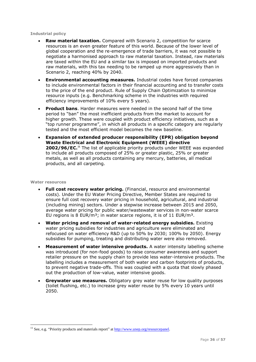#### **Industrial policy**

- **Raw material taxation.** Compared with Scenario 2, competition for scarce resources is an even greater feature of this world. Because of the lower level of global cooperation and the re-emergence of trade barriers, it was not possible to negotiate a harmonised approach to raw material taxation. Instead, raw materials are taxed within the EU and a similar tax is imposed on imported products and raw materials, with this tax needing to be ramped up more aggressively than in Scenario 2, reaching 40% by 2040.
- **Environmental accounting measures.** Industrial codes have forced companies to include environmental factors in their financial accounting and to transfer costs to the price of the end product. Rule of Supply Chain Optimization to minimize resource inputs (e.g. Benchmarking scheme in the industries with required efficiency improvements of 10% every 5 years).
- **Product bans**. Harder measures were needed in the second half of the time period to "ban" the most inefficient products from the market to account for higher growth. These were coupled with product efficiency initiatives, such as a "top runner programme", in which all products in a specific category are regularly tested and the most efficient model becomes the new baseline.
- **Expansion of extended producer responsibility (EPR) obligation beyond Waste Electrical and Electronic Equipment (WEEE) directive 2002/96/EC.<sup>11</sup>** The list of applicable priority products under WEEE was expanded to include all products composed of 25% or greater plastic, 25% or greater metals, as well as all products containing any mercury, batteries, all medical products, and all carpeting.

#### **Water resources**

- **Full cost recovery water pricing.** (Financial, resource and environmental costs). Under the EU Water Pricing Directive, Member States are required to ensure full cost recovery water pricing in household, agricultural, and industrial (including mining) sectors. Under a stepwise increase between 2015 and 2050, average water pricing for public water/wastewater services in non-water scarce EU regions is 8 EUR/m<sup>3</sup>; in water scarce regions, it is of 11 EUR/m<sup>3</sup>.
- **Water pricing and removal of water-related energy subsidies.** Existing water pricing subsidies for industries and agriculture were eliminated and refocused on water efficiency R&D (up to 50% by 2030; 100% by 2050). Energy subsidies for pumping, treating and distributing water were also removed.
- **Measurement of water intensive products.** A water intensity labelling scheme was introduced (for non-food goods) to raise consumer awareness and support retailer pressure on the supply chain to provide less water-intensive products. The labelling includes a measurement of both water and carbon footprints of products, to prevent negative trade-offs. This was coupled with a quota that slowly phased out the production of low-value, water intensive goods.
- **Greywater use measures.** Obligatory grey water reuse for low quality purposes (toilet flushing, etc.) to increase grey water reuse by 5% every 10 years until 2050.

<sup>&</sup>lt;sup>11</sup> See, e.g. "Priority products and materials report" at [http://www.unep.org/resourcepanel.](http://www.unep.org/resourcepanel)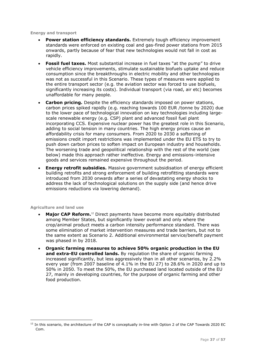**Energy and transport**

- **Power station efficiency standards.** Extremely tough efficiency improvement standards were enforced on existing coal and gas-fired power stations from 2015 onwards, partly because of fear that new technologies would not fall in cost as rapidly.
- **Fossil fuel taxes.** Most substantial increase in fuel taxes "at the pump" to drive vehicle efficiency improvements, stimulate sustainable biofuels uptake and reduce consumption since the breakthroughs in electric mobility and other technologies was not as successful in this Scenario. These types of measures were applied to the entire transport sector (e.g. the aviation sector was forced to use biofuels, significantly increasing its costs). Individual transport (via road, air etc) becomes unaffordable for many people.
- **Carbon pricing.** Despite the efficiency standards imposed on power stations, carbon prices spiked rapidly (e.g. reaching towards 100 EUR /tonne by 2020) due to the lower pace of technological innovation on key technologies including largescale renewable energy (e.g. CSP) plant and advanced fossil fuel plant incorporating CCS. Expensive nuclear power has the greatest role in this Scenario, adding to social tension in many countries. The high energy prices cause an affordability crisis for many consumers. From 2020 to 2030 a softening of emissions credit import restrictions was implemented under the EU ETS to try to push down carbon prices to soften impact on European industry and households. The worsening trade and geopolitical relationship with the rest of the world (see below) made this approach rather ineffective. Energy and emissions-intensive goods and services remained expensive throughout the period.
- **Energy retrofit subsidies.** Massive government subsidisation of energy efficient building retrofits and strong enforcement of building retrofitting standards were introduced from 2030 onwards after a series of devastating energy shocks to address the lack of technological solutions on the supply side (and hence drive emissions reductions via lowering demand).

#### **Agriculture and land use**

- **Major CAP Reform.**<sup>12</sup> Direct payments have become more equitably distributed among Member States, but significantly lower overall and only where the crop/animal product meets a carbon intensity performance standard. There was some elimination of market intervention measures and trade barriers, but not to the same extent as Scenario 2. Additional environmental service/benefit payment was phased in by 2018.
- **Organic farming measures to achieve 50% organic production in the EU and extra-EU controlled lands.** By regulation the share of organic farming increased significantly, but less aggressively than in all other scenarios, by 2.2% every year (from 2007 baseline of 4.1% in the EU 27) to 28.6% in 2020 and up to 50% in 2050. To meet the 50%, the EU purchased land located outside of the EU 27, mainly in developing countries, for the purpose of organic farming and other food production.

 $12$  In this scenario, the architecture of the CAP is conceptually in-line with Option 2 of the CAP Towards 2020 EC Com.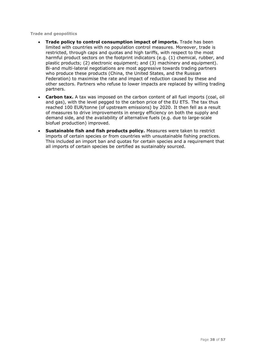**Trade and geopolitics**

- **Trade policy to control consumption impact of imports.** Trade has been limited with countries with no population control measures. Moreover, trade is restricted, through caps and quotas and high tariffs, with respect to the most harmful product sectors on the footprint indicators (e.g. (1) chemical, rubber, and plastic products; (2) electronic equipment; and (3) machinery and equipment). Bi-and multi-lateral negotiations are most aggressive towards trading partners who produce these products (China, the United States, and the Russian Federation) to maximise the rate and impact of reduction caused by these and other sectors. Partners who refuse to lower impacts are replaced by willing trading partners.
- **Carbon tax.** A tax was imposed on the carbon content of all fuel imports (coal, oil and gas), with the level pegged to the carbon price of the EU ETS. The tax thus reached 100 EUR/tonne (of upstream emissions) by 2020. It then fell as a result of measures to drive improvements in energy efficiency on both the supply and demand side, and the availability of alternative fuels (e.g. due to large-scale biofuel production) improved.
- **Sustainable fish and fish products policy.** Measures were taken to restrict imports of certain species or from countries with unsustainable fishing practices. This included an import ban and quotas for certain species and a requirement that all imports of certain species be certified as sustainably sourced.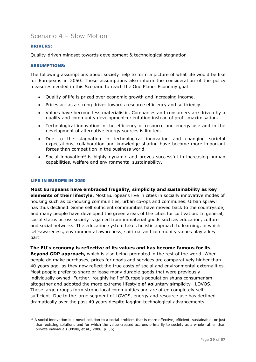### <span id="page-39-0"></span>Scenario 4 – Slow Motion

#### <span id="page-39-1"></span>DRIVERS:

Quality-driven mindset towards development & technological stagnation

#### <span id="page-39-2"></span>ASSUMPTIONS:

The following assumptions about society help to form a picture of what life would be like for Europeans in 2050. These assumptions also inform the consideration of the policy measures needed in this Scenario to reach the One Planet Economy goal:

- Quality of life is prized over economic growth and increasing income.
- Prices act as a strong driver towards resource efficiency and sufficiency.
- Values have become less materialistic. Companies and consumers are driven by a quality and community development-orientation instead of profit maximisation.
- Technological innovation in the efficiency of resource and energy use and in the development of alternative energy sources is limited.
- Due to the stagnation in technological innovation and changing societal expectations, collaboration and knowledge sharing have become more important forces than competition in the business world.
- Social innovation<sup>13</sup> is highly dynamic and proves successful in increasing human capabilities, welfare and environmental sustainability.

#### <span id="page-39-3"></span>LIFE IN EUROPE IN 2050

-

**Most Europeans have embraced frugality, simplicity and sustainability as key elements of their lifestyle.** Most Europeans live in cities in socially innovative modes of housing such as co-housing communities, urban co-ops and communes. Urban sprawl has thus declined. Some self sufficient communities have moved back to the countryside, and many people have developed the green areas of the cities for cultivation. In general, social status across society is gained from immaterial goods such as education, culture and social networks. The education system takes holistic approach to learning, in which self-awareness, environmental awareness, spiritual and community values play a key part.

**The EU's economy is reflective of its values and has become famous for its Beyond GDP approach,** which is also being promoted in the rest of the world. When people do make purchases, prices for goods and services are comparatively higher than 40 years ago, as they now reflect the true costs of social and environmental externalities. Most people prefer to share or lease many durable goods that were previously individually owned. Further, roughly half of Europe's population shuns consumerism altogether and adopted the more extreme **l**ifestyle **o**f **vo**luntary **s**implicity—LOVOS. These large groups form strong local communities and are often completely selfsufficient. Due to the large segment of LOVOS, energy and resource use has declined dramatically over the past 40 years despite lagging technological advancements.

 $13$  A social innovation is a novel solution to a social problem that is more effective, efficient, sustainable, or just than existing solutions and for which the value created accrues primarily to society as a whole rather than private individuals (Phills, et al., 2008, p. 36).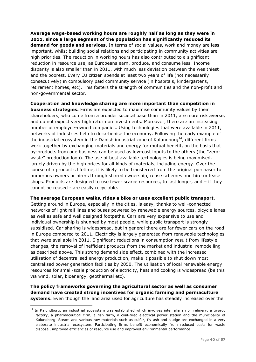**Average wage-based working hours are roughly half as long as they were in 2011, since a large segment of the population has significantly reduced its demand for goods and services.** In terms of social values, work and money are less important, whilst building social relations and participating in community activities are high priorities. The reduction in working hours has also contributed to a significant reduction in resource use, as Europeans earn, produce, and consume less. Income disparity is also smaller than in 2011, with much less deviation between the wealthiest and the poorest. Every EU citizen spends at least two years of life (not necessarily consecutively) in compulsory paid community service (in hospitals, kindergartens, retirement homes, etc). This fosters the strength of communities and the non-profit and non-governmental sector.

**Cooperation and knowledge sharing are more important than competition in business strategies.** Firms are expected to maximise community values by their shareholders, who come from a broader societal base than in 2011, are more risk averse, and do not expect very high return on investments. Moreover, there are an increasing number of employee-owned companies. Using technologies that were available in 2011, networks of industries help to decarbonise the economy. Following the early example of the industrial ecosystem in the Danish industrial zone of Kalundborg<sup>14</sup>, different firms work together by exchanging materials and energy for mutual benefit, on the basis that by-products from one business can be used as low-cost inputs to the others (the "zerowaste" production loop). The use of best available technologies is being maximised, largely driven by the high prices for all kinds of materials, including energy. Over the course of a product's lifetime, it is likely to be transferred from the original purchaser to numerous owners or hirers through shared ownership, reuse schemes and hire or lease shops. Products are designed to use fewer scarce resources, to last longer, and – if they cannot be reused - are easily recyclable.

#### **The average European walks, rides a bike or uses excellent public transport.**

Getting around in Europe, especially in the cities, is easy, thanks to well-connected networks of light rail lines and buses powered by renewable energy sources, bicycle lanes as well as safe and well designed footpaths. Cars are very expensive to use and individual ownership is shunned by most people, while public transport is strongly subsidised. Car sharing is widespread, but in general there are far fewer cars on the road in Europe compared to 2011. Electricity is largely generated from renewable technologies that were available in 2011. Significant reductions in consumption result from lifestyle changes, the removal of inefficient products from the market and industrial remodelling as described above. This strong demand side effect, combined with the increased utilisation of decentralised energy production, make it possible to shut down most centralised power generation facilities by 2050. The utilisation of local renewable energy resources for small-scale production of electricity, heat and cooling is widespread (be this via wind, solar, bioenergy, geothermal etc).

#### **The policy frameworks governing the agricultural sector as well as consumer demand have created strong incentives for organic farming and permaculture systems.** Even though the land area used for agriculture has steadily increased over the

<sup>&</sup>lt;sup>14</sup> In Kalundborg, an industrial ecosystem was established which involves inter alia an oil refinery, a gyproc factory, a pharmaceutical firm, a fish farm, a coal-fired electrical power station and the municipality of Kalundborg. Steam and various raw materials such as sulfur, fly ash and sludge are exchanged in a very elaborate industrial ecosystem. Participating firms benefit economically from reduced costs for waste disposal, improved efficiencies of resource use and improved environmental performance.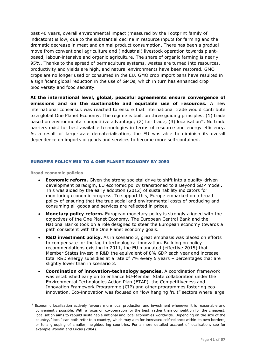past 40 years, overall environmental impact (measured by the Footprint family of indicators) is low, due to the substantial decline in resource inputs for farming and the dramatic decrease in meat and animal product consumption. There has been a gradual move from conventional agriculture and (industrial) livestock operation towards plantbased, labour-intensive and organic agriculture. The share of organic farming is nearly 95%. Thanks to the spread of permaculture systems, wastes are turned into resources, productivity and yields are high, and natural environments have been restored. GMO crops are no longer used or consumed in the EU. GMO crop import bans have resulted in a significant global reduction in the use of GMOs, which in turn has enhanced crop biodiversity and food security.

**At the international level, global, peaceful agreements ensure convergence of emissions and on the sustainable and equitable use of resources.** A new international consensus was reached to ensure that international trade would contribute to a global One Planet Economy. The regime is built on three guiding principles: (1) trade based on environmental competitive advantage; (2) fair trade; (3) localisation<sup>15</sup>. No trade barriers exist for best available technologies in terms of resource and energy efficiency. As a result of large-scale dematerialisation, the EU was able to diminish its overall dependence on imports of goods and services to become more self-contained.

#### <span id="page-41-0"></span>EUROPE'S POLICY MIX TO A ONE PLANET ECONOMY BY 2050

**Broad economic policies**

- **Economic reform.** Given the strong societal drive to shift into a quality-driven development paradigm, EU economic policy transitioned to a Beyond GDP model. This was aided by the early adoption (2012) of sustainability indicators for monitoring economic progress. To support this, Europe embarked on a broad policy of ensuring that the true social and environmental costs of producing and consuming all goods and services are reflected in prices.
- **Monetary policy reform.** European monetary policy is strongly aligned with the objectives of the One Planet Economy. The European Central Bank and the National Banks took on a role designed to steer the European economy towards a path consistent with the One Planet economy goals.
- **R&D investment policy.** As in scenario 3, great emphasis was placed on efforts to compensate for the lag in technological innovation. Building on policy recommendations existing in 2011, the EU mandated (effective 2015) that Member States invest in R&D the equivalent of 8% GDP each year and increase total R&D energy subsidies at a rate of 7% every 5 years – percentages that are slightly lower than in scenario 3.
- **Coordination of innovation-technology agencies.** A coordination framework was established early on to enhance EU-Member State collaboration under the Environmental Technologies Action Plan (ETAP), the Competitiveness and Innovation Framework Programme (CIP) and other programmes fostering ecoinnovation. Eco-innovation was focused on "low hanging fruit" sectors where large

<sup>&</sup>lt;sup>15</sup> Economic localisation actively favours more local production and investment whenever it is reasonable and conveniently possible. With a focus on co-operation for the best, rather than competition for the cheapest, localisation aims to rebuild sustainable national and local economies worldwide. Depending on the size of the country, "local" can both refer to a country, which may aim for increased self-reliance within its own borders, or to a grouping of smaller, neighbouring countries. For a more detailed account of localisation, see for example Woodin and Lucas (2004).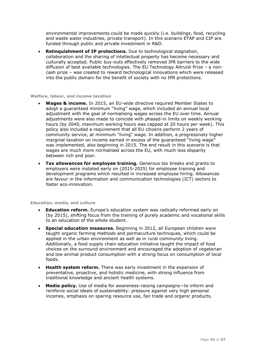environmental improvements could be made quickly (i.e. buildings, food, recycling and waste water industries, private transport). In this scenario ETAP and CIP are funded through public and private investment in R&D.

 **Relinquishment of IP protections.** Due to technological stagnation, collaboration and the sharing of intellectual property has become necessary and culturally accepted. Public buy-outs effectively removed IPR barriers to the wide diffusion of best available technologies. The EU Technology Altruist Prize – a noncash prize – was created to reward technological innovations which were released into the public domain for the benefit of society with no IPR protections.

#### **Welfare, labour, and income taxation**

- **Wages & income.** In 2015, an EU-wide directive required Member States to adopt a guaranteed minimum "living" wage, which included an annual local adjustment with the goal of normalising wages across the EU over time. Annual adjustments were also made to coincide with phased-in limits on weekly working hours (by 2040, maximum working hours was capped at 20 hours per week). This policy also included a requirement that all EU citizens perform 2 years of community service, at minimum "living" wage. In addition, a progressively higher marginal taxation on income earned in excess of the guaranteed "living wage" was implemented, also beginning in 2015. The end result in this scenario is that wages are much more normalised across the EU, with much less disparity between rich and poor.
- **Tax allowances for employee training.** Generous tax breaks and grants to employers were instated early on (2015-2025) for employee training and development programs which resulted in increased employee hiring. Allowances are favour in the information and communication technologies (ICT) sectors to foster eco-innovation.

#### **Education, media, and culture**

- **Education reform.** Europe's education system was radically reformed early on (by 2015), shifting focus from the training of purely academic and vocational skills to an education of the whole student.
- **Special education measures.** Beginning in 2012, all European children were taught organic farming methods and permaculture techniques, which could be applied in the urban environment as well as in rural community living. Additionally, a food supply chain education initiative taught the impact of food choices on the surround environment and encouraged the adoption of vegetarian and low animal product consumption with a strong focus on consumption of local foods.
- **Health system reform.** There was early investment in the expansion of preventative, proactive, and holistic medicine, with strong influence from traditional knowledge and ancient health systems.
- **Media policy.** Use of media for awareness-raising campaigns—to inform and reinforce social ideals of sustainability: pressure against very high personal incomes, emphasis on sparing resource use, fair trade and organic products.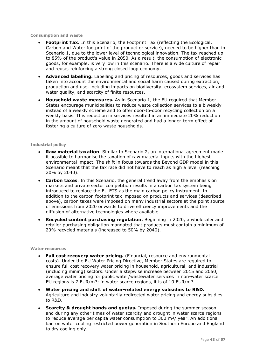#### **Consumption and waste**

- **Footprint Tax.** In this Scenario, the Footprint Tax (reflecting the Ecological, Carbon and Water footprint of the product or service), needed to be higher than in Scenario 1, due to the lower level of technological innovation. The tax reached up to 85% of the product's value in 2050. As a result, the consumption of electronic goods, for example, is very low in this scenario. There is a wide culture of repair and reuse, reinforcing a strong closed loop economy.
- **Advanced labelling.** Labelling and pricing of resources, goods and services has taken into account the environmental and social harm caused during extraction, production and use, including impacts on biodiversity, ecosystem services, air and water quality, and scarcity of finite resources.
- **Household waste measures.** As in Scenario 1, the EU required that Member States encourage municipalities to reduce waste collection services to a biweekly instead of a weekly scheme and to offer door-to-door recycling collection on a weekly basis. This reduction in services resulted in an immediate 20% reduction in the amount of household waste generated and had a longer-term effect of fostering a culture of zero waste households.

#### **Industrial policy**

- **Raw material taxation**. Similar to Scenario 2, an international agreement made it possible to harmonise the taxation of raw material inputs with the highest environmental impact. The shift in focus towards the Beyond GDP model in this Scenario meant that the tax rate did not have to reach as high a level (reaching 20% by 2040).
- **Carbon taxes**. In this Scenario, the general trend away from the emphasis on markets and private sector competition results in a carbon tax system being introduced to replace the EU ETS as the main carbon policy instrument. In addition to the carbon footprint tax imposed on products and services (described above), carbon taxes were imposed on many industrial sectors at the point source of emissions from 2020 onwards to drive efficiency improvements and the diffusion of alternative technologies where available.
- **Recycled content purchasing regulation.** Beginning in 2020, a wholesaler and retailer purchasing obligation mandated that products must contain a minimum of 20% recycled materials (increased to 50% by 2040).

#### **Water resources**

- **Full cost recovery water pricing.** (Financial, resource and environmental costs). Under the EU Water Pricing Directive, Member States are required to ensure full cost recovery water pricing in household, agricultural, and industrial (including mining) sectors. Under a stepwise increase between 2015 and 2050, average water pricing for public water/wastewater services in non-water scarce EU regions is  $7$  EUR/m<sup>3</sup>; in water scarce regions, it is of 10 EUR/m<sup>3</sup>.
- **Water pricing and shift of water-related energy subsidies to R&D.** Agriculture and industry voluntarily redirected water pricing and energy subsidies to R&D.
- **Scarcity & drought bands and quotas.** Imposed during the summer season and during any other times of water scarcity and drought in water scarce regions to reduce average per capita water consumption to  $300 \text{ m}^3$  / year. An additional ban on water cooling restricted power generation in Southern Europe and England to dry cooling only.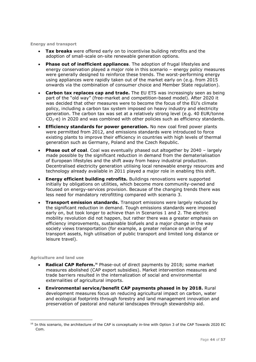**Energy and transport**

- **Tax breaks** were offered early on to incentivise building retrofits and the adoption of small-scale on-site renewable generation options.
- **Phase out of inefficient appliances**. The adoption of frugal lifestyles and energy conservation played a major role in this scenario – energy policy measures were generally designed to reinforce these trends. The worst-performing energy using appliances were rapidly taken out of the market early on (e.g. from 2015 onwards via the combination of consumer choice and Member State regulation).
- **Carbon tax replaces cap and trade.** The EU ETS was increasingly seen as being part of the "old way" (free-market and competition-based model). After 2020 it was decided that other measures were to become the focus of the EU's climate policy, including a carbon tax system imposed on heavy industry and electricity generation. The carbon tax was set at a relatively strong level (e.g. 40 EUR/tonne  $CO<sub>2</sub>$ -e) in 2020 and was combined with other policies such as efficiency standards.
- **Efficiency standards for power generation.** No new coal fired power plants were permitted from 2012, and emissions standards were introduced to force existing plants to improve their efficiency in countries with high levels of thermal generation such as Germany, Poland and the Czech Republic.
- **Phase out of coal.** Coal was eventually phased out altogether by 2040 largely made possible by the significant reduction in demand from the dematerialisation of European lifestyles and the shift away from heavy industrial production. Decentralised electricity generation utilising local renewable energy resources and technology already available in 2011 played a major role in enabling this shift.
- **Energy efficient building retrofits.** Buildings renovations were supported initially by obligations on utilities, which become more community-owned and focused on energy-services provision. Because of the changing trends there was less need for mandatory retrofitting compared with scenario 3.
- **Transport emission standards.** Transport emissions were largely reduced by the significant reduction in demand. Tough emissions standards were imposed early on, but took longer to achieve than in Scenarios 1 and 2. The electric mobility revolution did not happen, but rather there was a greater emphasis on efficiency improvements, sustainable biofuels and a major change in the way society views transportation (for example, a greater reliance on sharing of transport assets, high utilisation of public transport and limited long distance or leisure travel).

#### **Agriculture and land use**

- **Radical CAP Reform.<sup>16</sup>** Phase-out of direct payments by 2018; some market measures abolished (CAP export subsidies). Market intervention measures and trade barriers resulted in the internalization of social and environmental externalities of agricultural imports.
- **Environmental service/benefit CAP payments phased in by 2018.** Rural development measures focus on reducing agricultural impact on carbon, water and ecological footprints through forestry and land management innovation and preservation of pastoral and natural landscapes through stewardship aid.

<sup>&</sup>lt;sup>16</sup> In this scenario, the architecture of the CAP is conceptually in-line with Option 3 of the CAP Towards 2020 EC Com.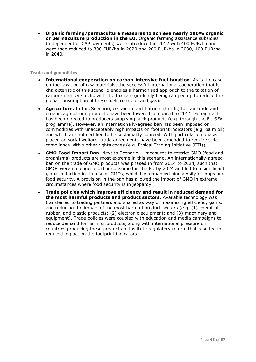**Organic farming/permaculture measures to achieve nearly 100% organic or permaculture production in the EU.** Organic farming assistance subsidies (independent of CAP payments) were introduced in 2012 with 400 EUR/ha and were then reduced to 300 EUR/ha in 2020 and 200 EUR/ha in 2030, 100 EUR/ha in 2040.

#### **Trade and geopolitics**

- **International cooperation on carbon-intensive fuel taxation**. As is the case on the taxation of raw materials, the successful international cooperation that is characteristic of this scenario enables a harmonised approach to the taxation of carbon-intensive fuels, with the tax rate gradually being ramped up to reduce the global consumption of these fuels (coal, oil and gas).
- **Agriculture.** In this Scenario, certain import barriers (tariffs) for fair trade and organic agricultural products have been lowered compared to 2011. Foreign aid has been directed to producers supplying such products (e.g. through the EU SFA programme). However, an internationally-agreed ban has been imposed on commodities with unacceptably high impacts on footprint indicators (e.g. palm oil) and which are not certified to be sustainably sourced. With particular emphasis placed on social welfare, trade agreements have been amended to require strict compliance with worker rights codes (e.g. Ethical Trading Initiative (ETI)).
- **GMO Food Import Ban**. Next to Scenario 1, measures to restrict GMO (food and organisms) products are most extreme in this scenario. An internationally-agreed ban on the trade of GMO products was phased in from 2014 to 2024, such that GMOs were no longer used or consumed in the EU by 2024 and led to a significant global reduction in the use of GMOs, which has enhanced biodiversity of crops and food security. A provision in the ban has allowed the import of GMO in extreme circumstances where food security is in jeopardy.
- **Trade policies which improve efficiency and result in reduced demand for the most harmful products and product sectors.** Available technology was transferred to trading partners and shared as way of maximising efficiency gains, and reducing the impact of the most harmful product sectors (e.g. (1) chemical, rubber, and plastic products; (2) electronic equipment; and (3) machinery and equipment). Trade policies were coupled with education and media campaigns to reduce demand for harmful products, along with international pressure on countries producing these products to institute regulatory reform that resulted in reduced impact on the footprint indicators.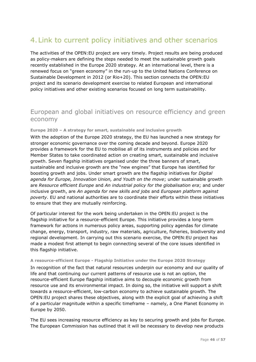## <span id="page-46-0"></span>4.Link to current policy initiatives and other scenarios

The activities of the OPEN:EU project are very timely. Project results are being produced as policy-makers are defining the steps needed to meet the sustainable growth goals recently established in the Europe 2020 strategy. At an international level, there is a renewed focus on "green economy" in the run-up to the United Nations Conference on Sustainable Development in 2012 (or Rio+20). This section connects the OPEN:EU project and its scenario development exercise to related European and international policy initiatives and other existing scenarios focused on long term sustainability.

### European and global initiatives on resource efficiency and green economy

#### **Europe 2020 – A strategy for smart, sustainable and inclusive growth**

With the adoption of the Europe 2020 strategy, the EU has launched a new strategy for stronger economic governance over the coming decade and beyond. Europe 2020 provides a framework for the EU to mobilise all of its instruments and policies and for Member States to take coordinated action on creating smart, sustainable and inclusive growth. Seven flagship initiatives organised under the three banners of smart, sustainable and inclusive growth are the "new engines" that Europe has identified for boosting growth and jobs. Under smart growth are the flagship initiatives for *Digital agenda for Europe, Innovation Union, and Youth on the move*; under sustainable growth are *Resource efficient Europe* and *An industrial policy for the globalisation era*; and under inclusive growth, are *An agenda for new skills and jobs* and *European platform against poverty*. EU and national authorities are to coordinate their efforts within these initiatives to ensure that they are mutually reinforcing.

Of particular interest for the work being undertaken in the OPEN:EU project is the flagship initiative for a resource-efficient Europe. This initiative provides a long-term framework for actions in numerous policy areas, supporting policy agendas for climate change, energy, transport, industry, raw materials, agriculture, fisheries, biodiversity and regional development. In carrying out this scenario exercise, the OPEN:EU project has made a modest first attempt to begin connecting several of the core issues identified in this flagship initiative.

#### **A resource-efficient Europe - Flagship Initiative under the Europe 2020 Strategy**

In recognition of the fact that natural resources underpin our economy and our quality of life and that continuing our current patterns of resource use is not an option, the resource-efficient Europe flagship initiative aims to decouple economic growth from resource use and its environmental impact. In doing so, the initiative will support a shift towards a resource-efficient, low-carbon economy to achieve sustainable growth. The OPEN:EU project shares these objectives, along with the explicit goal of achieving a shift of a particular magnitude within a specific timeframe – namely, a One Planet Economy in Europe by 2050.

The EU sees increasing resource efficiency as key to securing growth and jobs for Europe. The European Commission has outlined that it will be necessary to develop new products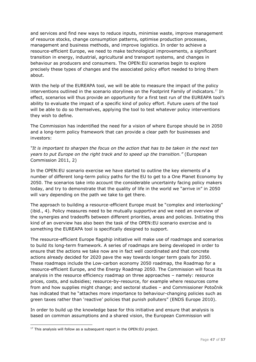and services and find new ways to reduce inputs, minimise waste, improve management of resource stocks, change consumption patterns, optimise production processes, management and business methods, and improve logistics. In order to achieve a resource-efficient Europe, we need to make technological improvements, a significant transition in energy, industrial, agricultural and transport systems, and changes in behaviour as producers and consumers. The OPEN:EU scenarios begin to explore precisely these types of changes and the associated policy effort needed to bring them about.

With the help of the EUREAPA tool, we will be able to measure the impact of the policy interventions outlined in the scenario storylines on the Footprint Family of indicators.<sup>17</sup> In effect, scenarios will thus provide an opportunity for a first test run of the EUREAPA tool's ability to evaluate the impact of a specific kind of policy effort. Future users of the tool will be able to do so themselves, applying the tool to test whatever policy interventions they wish to define.

The Commission has indentified the need for a vision of where Europe should be in 2050 and a long-term policy framework that can provide a clear path for businesses and investors:

*"It is important to sharpen the focus on the action that has to be taken in the next ten years to put Europe on the right track and to speed up the transition."* (European Commission 2011, 2)

In the OPEN:EU scenario exercise we have started to outline the key elements of a number of different long-term policy paths for the EU to get to a One Planet Economy by 2050. The scenarios take into account the considerable uncertainty facing policy makers today, and try to demonstrate that the quality of life in the world we "arrive in" in 2050 will vary depending on the path we take to get there.

The approach to building a resource-efficient Europe must be "complex and interlocking" (ibid., 4). Policy measures need to be mutually supportive and we need an overview of the synergies and tradeoffs between different priorities, areas and policies. Initiating this kind of an overview has also been the task of the OPEN:EU scenario exercise and is something the EUREAPA tool is specifically designed to support.

The resource-efficient Europe flagship initiative will make use of roadmaps and scenarios to build its long-term framework. A series of roadmaps are being developed in order to ensure that the actions we take now are in fact well coordinated and that concrete actions already decided for 2020 pave the way towards longer term goals for 2050. These roadmaps include the Low-carbon economy 2050 roadmap, the Roadmap for a resource-efficient Europe, and the Energy Roadmap 2050. The Commission will focus its analysis in the resource efficiency roadmap on three approaches – namely: resource prices, costs, and subsidies; resource-by-resource, for example where resources come from and how supplies might change; and sectoral studies – and Commissioner Potočnik has indicated that he "attaches more importance to behaviour-changing policies such as green taxes rather than 'reactive' policies that punish polluters" (ENDS Europe 2010).

In order to build up the knowledge base for this initiative and ensure that analysis is based on common assumptions and a shared vision, the European Commission will

 $17$  This analysis will follow as a subsequent report in the OPEN: EU project.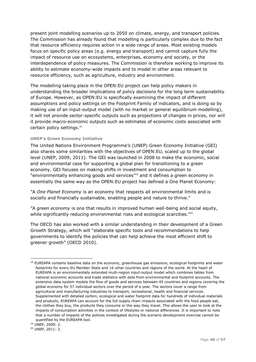present joint modelling scenarios up to 2050 on climate, energy, and transport policies. The Commission has already found that modelling is particularly complex due to the fact that resource efficiency requires action in a wide range of areas. Most existing models focus on specific policy areas (e.g. energy and transport) and cannot capture fully the impact of resource use on ecosystems, enterprises, economy and society, or the interdependence of policy measures. The Commission is therefore working to improve its ability to estimate economy-wide impacts and to model in other areas relevant to resource efficiency, such as agriculture, industry and environment.

The modelling taking place in the OPEN:EU project can help policy makers in understanding the broader implications of policy decisions for the long term sustainability of Europe. However, as OPEN:EU is specifically examining the impact of different assumptions and policy settings on the Footprint Family of indicators, and is doing so by making use of an input-output model (with no market or general equilibrium modelling), it will not provide sector-specific outputs such as projections of changes in prices, nor will it provide macro-economic outputs such as estimates of economic costs associated with certain policy settings.<sup>18</sup>

#### **UNEP's Green Economy Initiative**

The United Nations Environment Programme's (UNEP) Green Economy Initiative (GEI) also shares some similarities with the objectives of OPEN:EU, scaled up to the global level (UNEP, 2009, 2011). The GEI was launched in 2008 to make the economic, social and environmental case for supporting a global plan for transitioning to a green economy. GEI focuses on making shifts in investment and consumption to "environmentally enhancing goods and services"<sup>19</sup> and it defines a green economy in essentially the same way as the OPEN:EU project has defined a One Planet Economy:

‖A *One Planet Economy* is an economy that respects all environmental limits and is socially and financially sustainable, enabling people and nature to thrive."

‖A *green economy* is one that results in improved human well-being and social equity, while significantly reducing environmental risks and ecological scarcities.<sup> $720$ </sup>

The OECD has also worked with a similar understanding in their development of a Green Growth Strategy, which will "elaborate specific tools and recommendations to help governments to identify the policies that can help achieve the most efficient shift to greener growth" (OECD 2010).

<sup>19</sup> UNEP, 2009: 2.

-

<sup>20</sup> UNEP, 2011: 2.

<sup>&</sup>lt;sup>18</sup> EUREAPA contains baseline data on the economy, greenhouse gas emissions, ecological footprints and water footprints for every EU Member State and 16 other countries and regions of the world. At the heart of EUREAPA is an environmentally extended multi-region input-output model which combines tables from national economic accounts and trade statistics with data from environmental and footprint accounts. The extensive data system models the flow of goods and services between 45 countries and regions covering the global economy for 57 individual sectors over the period of a year. The sectors cover a range from agricultural and manufacturing industries to transport, recreational, health and financial services. Supplemented with detailed carbon, ecological and water footprint data for hundreds of individual materials and products, EUREAPA can account for the full supply chain impacts associated with the food people eat, the clothes they buy, the products they consume or the way they travel. This allows the user to look at the impacts of consumption activities in the context of lifestyles or national differences. It is important to note that a number of impacts of the policies investigated during the scenario development exercise cannot be quantified by the EUREAPA tool.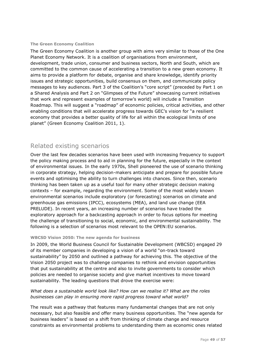#### **The Green Economy Coalition**

The Green Economy Coalition is another group with aims very similar to those of the One Planet Economy Network. It is a coalition of organisations from environment, development, trade union, consumer and business sectors, North and South, which are committed to the common cause of accelerating a transition to a new green economy. It aims to provide a platform for debate, organise and share knowledge, identify priority issues and strategic opportunities, build consensus on them, and communicate policy messages to key audiences. Part 3 of the Coalition's "core script" (preceded by Part 1 on a Shared Analysis and Part 2 on "Glimpses of the Future" showcasing current initiatives that work and represent examples of tomorrow's world) will include a Transition Roadmap. This will suggest a "roadmap" of economic policies, critical activities, and other enabling conditions that will accelerate progress towards GEC's vision for "a resilient economy that provides a better quality of life for all within the ecological limits of one planet" (Green Economy Coalition 2011, 1).

### Related existing scenarios

Over the last few decades scenarios have been used with increasing frequency to support the policy making process and to aid in planning for the future, especially in the context of environmental issues. In the early 1970s, Shell pioneered the use of scenario thinking in corporate strategy, helping decision-makers anticipate and prepare for possible future events and optimising the ability to turn challenges into chances. Since then, scenario thinking has been taken up as a useful tool for many other strategic decision making contexts – for example, regarding the environment. Some of the most widely known environmental scenarios include exploratory (or forecasting) scenarios on climate and greenhouse gas emissions (IPCC), ecosystems (MEA), and land use change (EEA PRELUDE). In recent years, an increasing number of scenarios have traded the exploratory approach for a backcasting approach in order to focus options for meeting the challenge of transitioning to social, economic, and environmental sustainability. The following is a selection of scenarios most relevant to the OPEN:EU scenarios.

#### **WBCSD Vision 2050: The new agenda for business**

In 2009, the World Business Council for Sustainable Development (WBCSD) engaged 29 of its member companies in developing a vision of a world "on-track toward sustainability" by 2050 and outlined a pathway for achieving this. The objective of the Vision 2050 project was to challenge companies to rethink and envision opportunities that put sustainability at the centre and also to invite governments to consider which policies are needed to organise society and give market incentives to move toward sustainability. The leading questions that drove the exercise were:

#### *What does a sustainable world look like? How can we realise it? What are the roles businesses can play in ensuring more rapid progress toward what world?*

The result was a pathway that features many fundamental changes that are not only necessary, but also feasible and offer many business opportunities. The "new agenda for business leaders" is based on a shift from thinking of climate change and resource constraints as environmental problems to understanding them as economic ones related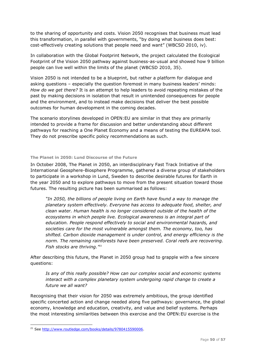to the sharing of opportunity and costs. Vision 2050 recognises that business must lead this transformation, in parallel with governments, "by doing what business does best: cost-effectively creating solutions that people need and want" (WBCSD 2010, iv).

In collaboration with the Global Footprint Network, the project calculated the Ecological Footprint of the Vision 2050 pathway against business-as-usual and showed how 9 billion people can live well within the limits of the planet (WBCSD 2010, 35).

Vision 2050 is not intended to be a blueprint, but rather a platform for dialogue and asking questions – especially the question foremost in many business leaders' minds: *How do we get there?* It is an attempt to help leaders to avoid repeating mistakes of the past by making decisions in isolation that result in unintended consequences for people and the environment, and to instead make decisions that deliver the best possible outcomes for human development in the coming decades.

The scenario storylines developed in OPEN:EU are similar in that they are primarily intended to provide a frame for discussion and better understanding about different pathways for reaching a One Planet Economy and a means of testing the EUREAPA tool. They do not prescribe specific policy recommendations as such.

#### **The Planet in 2050: Lund Discourse of the Future**

In October 2008, The Planet in 2050, an interdisciplinary Fast Track Initiative of the International Geosphere-Biosphere Programme, gathered a diverse group of stakeholders to participate in a workshop in Lund, Sweden to describe desirable futures for Earth in the year 2050 and to explore pathways to move from the present situation toward those futures. The resulting picture has been summarised as follows:

*"In 2050, the billions of people living on Earth have found a way to manage the planetary system effectively. Everyone has access to adequate food, shelter, and clean water. Human health is no longer considered outside of the health of the ecosystems in which people live. Ecological awareness is an integral part of education. People respond effectively to social and environmental hazards, and societies care for the most vulnerable amongst them. The economy, too, has shifted. Carbon dioxide management is under control, and energy efficiency is the norm. The remaining rainforests have been preserved. Coral reefs are recovering. Fish stocks are thriving."<sup>21</sup>*

After describing this future, the Planet in 2050 group had to grapple with a few sincere questions:

*Is any of this really possible? How can our complex social and economic systems interact with a complex planetary system undergoing rapid change to create a future we all want?*

Recognising that their vision for 2050 was extremely ambitious, the group identified specific concerted action and change needed along five pathways: governance, the global economy, knowledge and education, creativity, and value and belief systems. Perhaps the most interesting similarities between this exercise and the OPEN:EU exercise is the

<sup>&</sup>lt;sup>21</sup> See [http://www.routledge.com/books/details/9780415590006.](http://www.routledge.com/books/details/9780415590006)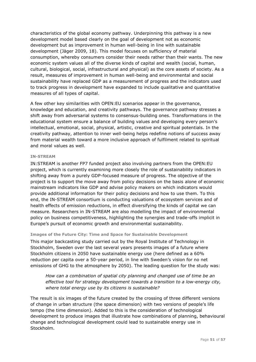characteristics of the global economy pathway. Underpinning this pathway is a new development model based clearly on the goal of development not as economic development but as improvement in human well-being in line with sustainable development (Jäger 2009, 18). This model focuses on sufficiency of material consumption, whereby consumers consider their needs rather than their wants. The new economic system values all of the diverse kinds of capital and wealth (social, human, cultural, biological, social, infrastructural and physical) as the core assets of society. As a result, measures of improvement in human well-being and environmental and social sustainability have replaced GDP as a measurement of progress and the indicators used to track progress in development have expanded to include qualitative and quantitative measures of all types of capital.

A few other key similarities with OPEN:EU scenarios appear in the governance, knowledge and education, and creativity pathways. The governance pathway stresses a shift away from adversarial systems to consensus-building ones. Transformations in the educational system ensure a balance of building values and developing every person's intellectual, emotional, social, physical, artistic, creative and spiritual potentials. In the creativity pathway, attention to inner well-being helps redefine notions of success away from material wealth toward a more inclusive approach of fulfilment related to spiritual and moral values as well.

#### **IN-STREAM**

IN:STREAM is another FP7 funded project also involving partners from the OPEN:EU project, which is currently examining more closely the role of sustainability indicators in shifting away from a purely GDP-focused measure of progress. The objective of the project is to support the move away from policy decisions on the basis alone of economic mainstream indicators like GDP and advise policy makers on which indicators would provide additional information for their policy decisions and how to use them. To this end, the IN-STREAM consortium is conducting valuations of ecosystem services and of health effects of emission reductions, in effect diversifying the kinds of capital we can measure. Researchers in IN-STREAM are also modelling the impact of environmental policy on business competitiveness, highlighting the synergies and trade-offs implicit in Europe's pursuit of economic growth and environmental sustainability.

#### **Images of the Future City: Time and Space for Sustainable Development**

This major backcasting study carried out by the Royal Institute of Technology in Stockholm, Sweden over the last several years presents images of a future where Stockholm citizens in 2050 have sustainable energy use (here defined as a 60% reduction per capita over a 50-year period, in line with Sweden's vision for no net emissions of GHG to the atmosphere by 2050). The leading question for the study was:

*How can a combination of spatial city planning and changed use of time be an effective tool for strategy development towards a transition to a low-energy city, where total energy use by its citizens is sustainable?* 

The result is six images of the future created by the crossing of three different versions of change in urban structure (the space dimension) with two versions of people's life tempo (the time dimension). Added to this is the consideration of technological development to produce images that illustrate how combinations of planning, behavioural change and technological development could lead to sustainable energy use in Stockholm.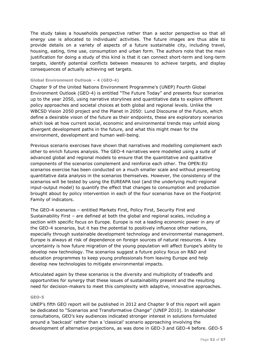The study takes a households perspective rather than a sector perspective so that all energy use is allocated to individuals' activities. The future images are thus able to provide details on a variety of aspects of a future sustainable city, including travel, housing, eating, time use, consumption and urban form. The authors note that the main justification for doing a study of this kind is that it can connect short-term and long-term targets, identify potential conflicts between measures to achieve targets, and display consequences of actually achieving set targets.

#### **Global Environment Outlook – 4 (GEO-4)**

Chapter 9 of the United Nations Environment Programme's (UNEP) Fourth Global Environment Outlook (GEO-4) is entitled "The Future Today" and presents four scenarios up to the year 2050, using narrative storylines and quantitative data to explore different policy approaches and societal choices at both global and regional levels. Unlike the WBCSD Vision 2050 project and the Planet in 2050: Lund Discourse of the Future, which define a desirable vision of the future as their endpoints, these are exploratory scenarios which look at how current social, economic and environmental trends may unfold along divergent development paths in the future, and what this might mean for the environment, development and human well-being.

Previous scenario exercises have shown that narratives and modelling complement each other to enrich futures analysis. The GEO-4 narratives were modelled using a suite of advanced global and regional models to ensure that the quantitative and qualitative components of the scenarios complement and reinforce each other. The OPEN:EU scenarios exercise has been conducted on a much smaller scale and without presenting quantitative data analysis in the scenarios themselves. However, the consistency of the scenarios will be tested by using the EUREAPA tool (and the underlying multi-regional input-output model) to quantify the effect that changes to consumption and production brought about by policy intervention in each of the four scenarios have on the Footprint Family of indicators.

The GEO-4 scenarios – entitled Markets First, Policy First, Security First and Sustainability First – are defined at both the global and regional scales, including a section with specific focus on Europe. Europe is not a leading economic power in any of the GEO-4 scenarios, but it has the potential to positively influence other nations, especially through sustainable development technology and environmental management. Europe is always at risk of dependence on foreign sources of natural resources. A key uncertainty is how future migration of the young population will affect Europe's ability to develop new technology. The scenarios suggest a future policy focus on R&D and education programmes to keep young professionals from leaving Europe and help develop new technologies to mitigate environmental impacts.

Articulated again by these scenarios is the diversity and multiplicity of tradeoffs and opportunities for synergy that these issues of sustainability present and the resulting need for decision-makers to meet this complexity with adaptive, innovative approaches.

#### **GEO-5**

UNEP's fifth GEO report will be published in 2012 and Chapter 9 of this report will again be dedicated to "Scenarios and Transformative Change" (UNEP 2010). In stakeholder consultations, GEO's key audiences indicated stronger interest in solutions formulated around a 'backcast' rather than a 'classical' scenario approaching involving the development of alternative projections, as was done in GEO-3 and GEO-4 before. GEO-5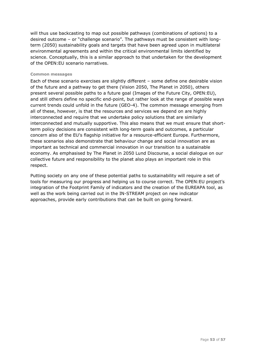will thus use backcasting to map out possible pathways (combinations of options) to a desired outcome – or "challenge scenario". The pathways must be consistent with longterm (2050) sustainability goals and targets that have been agreed upon in multilateral environmental agreements and within the critical environmental limits identified by science. Conceptually, this is a similar approach to that undertaken for the development of the OPEN:EU scenario narratives.

#### **Common messages**

Each of these scenario exercises are slightly different – some define one desirable vision of the future and a pathway to get there (Vision 2050, The Planet in 2050), others present several possible paths to a future goal (Images of the Future City, OPEN:EU), and still others define no specific end-point, but rather look at the range of possible ways current trends could unfold in the future (GEO-4). The common message emerging from all of these, however, is that the resources and services we depend on are highly interconnected and require that we undertake policy solutions that are similarly interconnected and mutually supportive. This also means that we must ensure that shortterm policy decisions are consistent with long-term goals and outcomes, a particular concern also of the EU's flagship initiative for a resource-efficient Europe. Furthermore, these scenarios also demonstrate that behaviour change and social innovation are as important as technical and commercial innovation in our transition to a sustainable economy. As emphasised by The Planet in 2050 Lund Discourse, a social dialogue on our collective future and responsibility to the planet also plays an important role in this respect.

Putting society on any one of these potential paths to sustainability will require a set of tools for measuring our progress and helping us to course correct. The OPEN:EU project's integration of the Footprint Family of indicators and the creation of the EUREAPA tool, as well as the work being carried out in the IN-STREAM project on new indicator approaches, provide early contributions that can be built on going forward.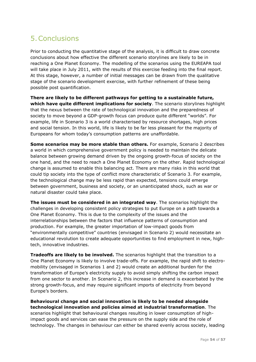## <span id="page-54-0"></span>5.Conclusions

Prior to conducting the quantitative stage of the analysis, it is difficult to draw concrete conclusions about how effective the different scenario storylines are likely to be in reaching a One Planet Economy. The modelling of the scenarios using the EUREAPA tool will take place in July 2011, with the results of this exercise feeding into the final report. At this stage, however, a number of initial messages can be drawn from the qualitative stage of the scenario development exercise, with further refinement of these being possible post quantification.

**There are likely to be different pathways for getting to a sustainable future, which have quite different implications for society**. The scenario storylines highlight that the nexus between the rate of technological innovation and the preparedness of society to move beyond a GDP-growth focus can produce quite different "worlds". For example, life in Scenario 3 is a world characterised by resource shortages, high prices and social tension. In this world, life is likely to be far less pleasant for the majority of Europeans for whom today's consumption patterns are unaffordable.

**Some scenarios may be more stable than others.** For example, Scenario 2 describes a world in which comprehensive government policy is needed to maintain the delicate balance between growing demand driven by the ongoing growth-focus of society on the one hand, and the need to reach a One Planet Economy on the other. Rapid technological change is assumed to enable this balancing act. There are many risks in this world that could tip society into the type of conflict more characteristic of Scenario 3. For example, the technological change may be less rapid than expected, tensions could emerge between government, business and society, or an unanticipated shock, such as war or natural disaster could take place.

**The issues must be considered in an integrated way**. The scenarios highlight the challenges in developing consistent policy strategies to put Europe on a path towards a One Planet Economy. This is due to the complexity of the issues and the interrelationships between the factors that influence patterns of consumption and production. For example, the greater importation of low-impact goods from ―environmentally competitive‖ countries (envisaged in Scenario 2) would necessitate an educational revolution to create adequate opportunities to find employment in new, hightech, innovative industries.

**Tradeoffs are likely to be involved.** The scenarios highlight that the transition to a One Planet Economy is likely to involve trade-offs. For example, the rapid shift to electromobility (envisaged in Scenarios 1 and 2) would create an additional burden for the transformation of Europe's electricity supply to avoid simply shifting the carbon impact from one sector to another. In Scenario 2, this increase in demand is exacerbated by the strong growth-focus, and may require significant imports of electricity from beyond Europe's borders.

**Behavioural change and social innovation is likely to be needed alongside technological innovation and policies aimed at industrial transformation**. The scenarios highlight that behavioural changes resulting in lower consumption of highimpact goods and services can ease the pressure on the supply side and the role of technology. The changes in behaviour can either be shared evenly across society, leading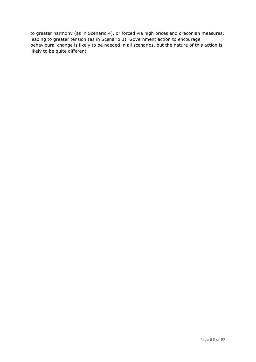to greater harmony (as in Scenario 4), or forced via high prices and draconian measures, leading to greater tension (as in Scenario 3). Government action to encourage behavioural change is likely to be needed in all scenarios, but the nature of this action is likely to be quite different.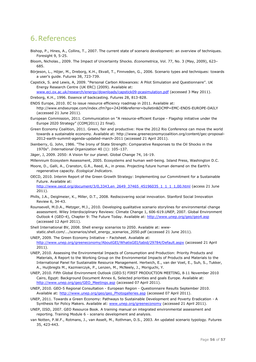## <span id="page-56-0"></span>6.References

- Bishop, P., Hines, A., Collins, T., 2007. The current state of scenario development: an overview of techniques. Foresight 9, 5-25.
- Bloom, Nicholas., 2009. The Impact of Uncertainty Shocks. *Econometrica*, Vol. 77, No. 3 (May, 2009), 623– 685.
- Börjeson, L., Höjer, M., Dreborg, K.H., Ekvall, T., Finnveden, G., 2006. Scenario types and techniques: towards a user's guide. Futures 38, 723-739.
- Capstick, S. and Lewis, A, 2009. "Personal Carbon Allowances: A Pilot Simulation and Ouestionnaire". UK Energy Research Centre (UK ERC) (2009). Available at:
- [www.eci.ox.ac.uk/research/energy/downloads/capstick09-pcasimulation.pdf](http://www.eci.ox.ac.uk/research/energy/downloads/capstick09-pcasimulation.pdf) (accessed 3 May 2011).
- Dreborg, K.H., 1996. Essence of backcasting. Futures 28, 813-828.
- ENDS Europe, 2010. EC to issue resource efficiency roadmap in 2011. Available at: <http://www.endseurope.com/index.cfm?go=24249&referrer=bulletin&DCMP=EMC-ENDS-EUROPE-DAILY> (accessed 21 June 2011).
- European Commission, 2011. Communication on "A resource-efficient Europe Flagship initiative under the Europe 2020 Strategy" (COM(2011) 21 final).
- Green Economy Coalition, 2011. Green, fair and productive: How the 2012 Rio Conference can move the world towards a sustainable economy. Available at: [http://www.greeneconomycoalition.org/content/gec-proposal-](http://www.greeneconomycoalition.org/content/gec-proposal-2012-earth-summit-agenda-updated-march-2011)[2012-earth-summit-agenda-updated-march-2011](http://www.greeneconomycoalition.org/content/gec-proposal-2012-earth-summit-agenda-updated-march-2011) (accessed 21 April 2011).
- Ikenberry, G. John, 1986. "The Irony of State Strength: Comparative Responses to the Oil Shocks in the 1970s". *International Organization* 40 (1): 105–137.
- Jäger, J, 2009. 2050: A Vision for our planet. Global Change 74, 16-19.
- Millennium Ecosystem Assessment, 2005. Ecosystems and human well-being. Island Press, Washington D.C.
- Moore, D., Galli, A., Cranston, G.R., Reed, A., in press. Projecting future human demand on the Earth's regenerative capacity. *Ecological Indicators*.
- OECD, 2010. Interim Report of the Green Growth Strategy: Implementing our Commitment for a Sustainable Future. Available at:

[http://www.oecd.org/document/3/0,3343,en\\_2649\\_37465\\_45196035\\_1\\_1\\_1\\_1,00.html](http://www.oecd.org/document/3/0,3343,en_2649_37465_45196035_1_1_1_1,00.html) (access 21 June 2011).

- Phills, J.A., Deiglmeier, K., Miller, D.T., 2008. Rediscovering social innovation. Stanford Social Innovation Review 6, 34-43.
- Rounsevell, M.D.A., Metzger, M.J., 2010. Developing qualitative scenario storylines for environmental change assessment. Wiley Interdisciplinary Reviews: Climate Change 1, 606-619.UNEP, 2007. Global Environment Outlook 4 (GEO-4), Chapter 9: The Future Today. Available at:<http://www.unep.org/geo/geo4.asp> (accessed 12 April 2011).
- Shell International BV, 2008. Shell energy scenarios to 2050. Available at: wwwstatic.shell.com/.../scenarios/shell\_energy\_scenarios\_2050.pdf (accessed 21 June 2011).
- UNEP, 2009. The Green Economy Initiative Factsheet. Available at: <http://www.unep.org/greeneconomy/AboutGEI/WhatisGEI/tabid/29784/Default.aspx> (accessed 21 April 2011).
- UNEP, 2010. Assessing the Environmental Impacts of Consumption and Production: Priority Products and Materials, A Report to the Working Group on the Environmental Impacts of Products and Materials to the International Panel for Sustainable Resource Management. Hertwich, E., van der Voet, E., Suh, S., Tukker, A., Huijbregts M., Kazmierczyk, P., Lenzen, M., McNeely, J., Moriguchi, Y.
- UNEP, 2010. Fifth Global Environment Outlook (GEO‐5) FIRST PRODUCTION MEETING, 8‐11 November 2010 Cairo, Egypt: Background Document Annex 6, Selected priorities and goals Europe. Available at: [http://www.unep.org/geo/GEO\\_Meetings.asp](http://www.unep.org/geo/GEO_Meetings.asp) (accessed 07 April 2011).
- UNEP, 2010. GEO-5 Regional Consultation European Region Questionnaire Results September 2010. Available at: [http://www.unep.org/geo/geo\\_Photogalleries.asp](http://www.unep.org/geo/geo_Photogalleries.asp) (accessed 07 April 2011).
- UNEP, 2011. Towards a Green Economy: Pathways to Sustainable Development and Poverty Eradication A Synthesis for Policy Makers. Available at: [www.unep.org/greeneconomy](http://www.unep.org/greeneconomy) (accessed 21 April 2011).
- UNEP, IISD, 2007. GEO Resource Book. A training manual on integrated environmental assessment and reporting. Training Module 6 - scenario development and analysis.
- van Notten, P.W.F., Rotmans, J., van Asselt, M., Rothman, D.S., 2003. An updated scenario typology. Futures 35, 423-443.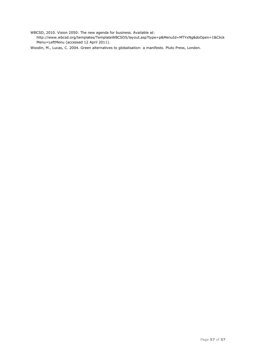WBCSD, 2010. Vision 2050: The new agenda for business. Available at:

http://www.wbcsd.org/templates/TemplateWBCSD5/layout.asp?type=p&MenuId=MTYxNg&doOpen=1&Click Menu=LeftMenu (accessed 12 April 2011).

Woodin, M., Lucas, C. 2004. Green alternatives to globalisation: a manifesto. Pluto Press, London.